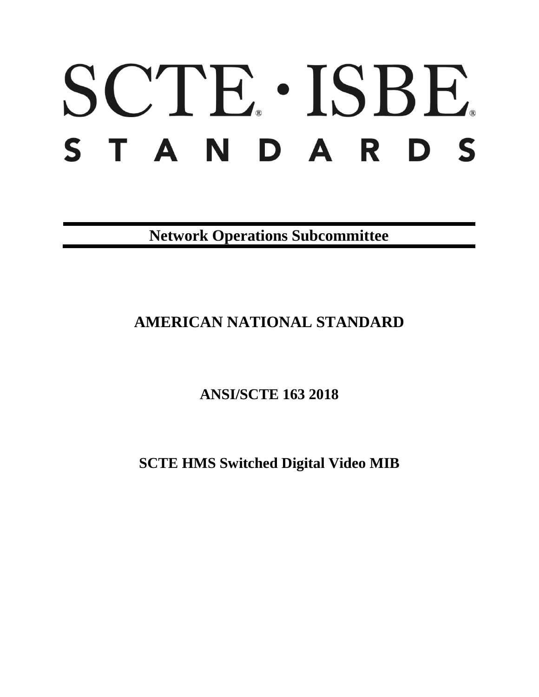# SCTE · ISBE. STANDARDS

**Network Operations Subcommittee**

## **AMERICAN NATIONAL STANDARD**

**ANSI/SCTE 163 2018**

**SCTE HMS Switched Digital Video MIB**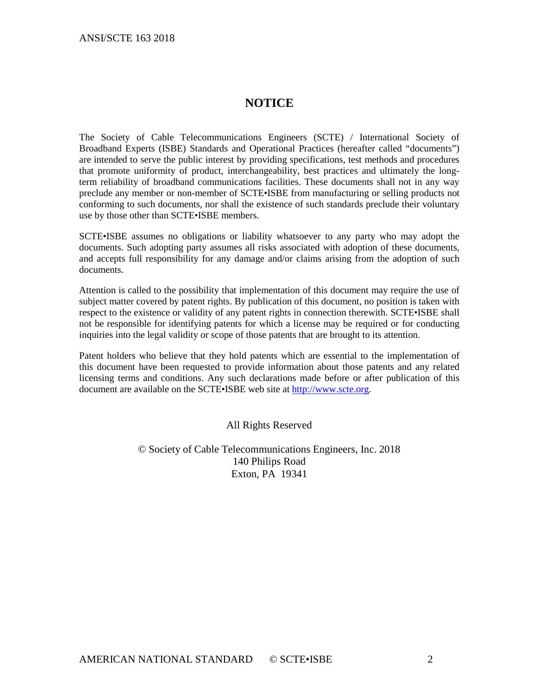### **NOTICE**

The Society of Cable Telecommunications Engineers (SCTE) / International Society of Broadband Experts (ISBE) Standards and Operational Practices (hereafter called "documents") are intended to serve the public interest by providing specifications, test methods and procedures that promote uniformity of product, interchangeability, best practices and ultimately the longterm reliability of broadband communications facilities. These documents shall not in any way preclude any member or non-member of SCTE•ISBE from manufacturing or selling products not conforming to such documents, nor shall the existence of such standards preclude their voluntary use by those other than SCTE•ISBE members.

SCTE•ISBE assumes no obligations or liability whatsoever to any party who may adopt the documents. Such adopting party assumes all risks associated with adoption of these documents, and accepts full responsibility for any damage and/or claims arising from the adoption of such documents.

Attention is called to the possibility that implementation of this document may require the use of subject matter covered by patent rights. By publication of this document, no position is taken with respect to the existence or validity of any patent rights in connection therewith. SCTE•ISBE shall not be responsible for identifying patents for which a license may be required or for conducting inquiries into the legal validity or scope of those patents that are brought to its attention.

Patent holders who believe that they hold patents which are essential to the implementation of this document have been requested to provide information about those patents and any related licensing terms and conditions. Any such declarations made before or after publication of this document are available on the SCTE•ISBE web site at [http://www.scte.org.](http://www.scte.org/)

All Rights Reserved

© Society of Cable Telecommunications Engineers, Inc. 2018 140 Philips Road Exton, PA 19341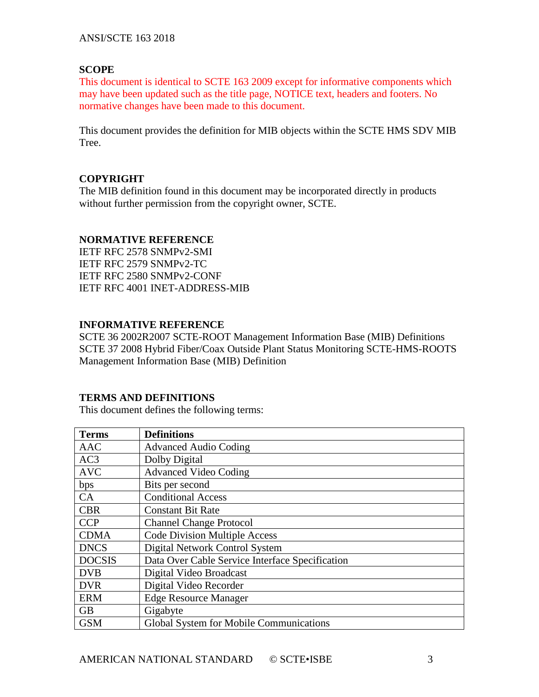#### **SCOPE**

This document is identical to SCTE 163 2009 except for informative components which may have been updated such as the title page, NOTICE text, headers and footers. No normative changes have been made to this document.

This document provides the definition for MIB objects within the SCTE HMS SDV MIB Tree.

#### **COPYRIGHT**

The MIB definition found in this document may be incorporated directly in products without further permission from the copyright owner, SCTE.

#### **NORMATIVE REFERENCE**

IETF RFC 2578 SNMPv2-SMI IETF RFC 2579 SNMPv2-TC IETF RFC 2580 SNMPv2-CONF IETF RFC 4001 INET-ADDRESS-MIB

#### **INFORMATIVE REFERENCE**

SCTE 36 2002R2007 SCTE-ROOT Management Information Base (MIB) Definitions SCTE 37 2008 Hybrid Fiber/Coax Outside Plant Status Monitoring SCTE-HMS-ROOTS Management Information Base (MIB) Definition

#### **TERMS AND DEFINITIONS**

This document defines the following terms:

| <b>Terms</b>    | <b>Definitions</b>                              |  |  |  |
|-----------------|-------------------------------------------------|--|--|--|
| <b>AAC</b>      | <b>Advanced Audio Coding</b>                    |  |  |  |
| AC <sub>3</sub> | Dolby Digital                                   |  |  |  |
| <b>AVC</b>      | <b>Advanced Video Coding</b>                    |  |  |  |
| bps             | Bits per second                                 |  |  |  |
| CA              | <b>Conditional Access</b>                       |  |  |  |
| <b>CBR</b>      | <b>Constant Bit Rate</b>                        |  |  |  |
| <b>CCP</b>      | <b>Channel Change Protocol</b>                  |  |  |  |
| <b>CDMA</b>     | <b>Code Division Multiple Access</b>            |  |  |  |
| <b>DNCS</b>     | Digital Network Control System                  |  |  |  |
| <b>DOCSIS</b>   | Data Over Cable Service Interface Specification |  |  |  |
| <b>DVB</b>      | Digital Video Broadcast                         |  |  |  |
| <b>DVR</b>      | Digital Video Recorder                          |  |  |  |
| <b>ERM</b>      | <b>Edge Resource Manager</b>                    |  |  |  |
| <b>GB</b>       | Gigabyte                                        |  |  |  |
| <b>GSM</b>      | Global System for Mobile Communications         |  |  |  |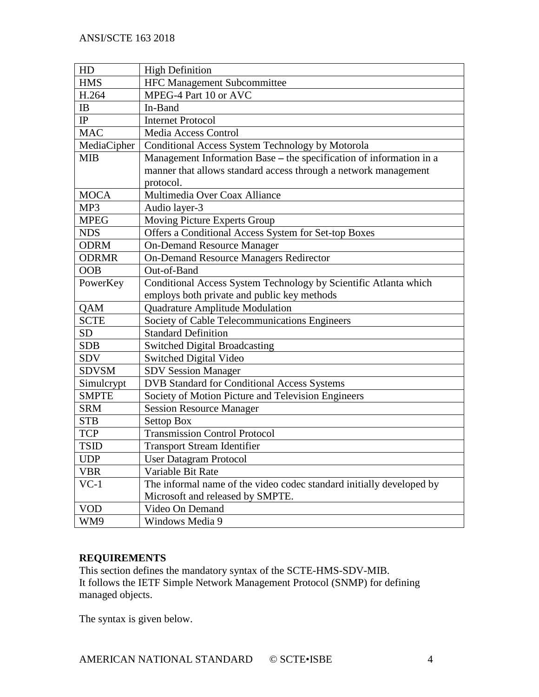| HD           | <b>High Definition</b>                                               |  |  |  |  |
|--------------|----------------------------------------------------------------------|--|--|--|--|
| <b>HMS</b>   | HFC Management Subcommittee                                          |  |  |  |  |
| H.264        | MPEG-4 Part 10 or AVC                                                |  |  |  |  |
| IB           | In-Band                                                              |  |  |  |  |
| $_{\rm IP}$  | <b>Internet Protocol</b>                                             |  |  |  |  |
| <b>MAC</b>   | Media Access Control                                                 |  |  |  |  |
| MediaCipher  | Conditional Access System Technology by Motorola                     |  |  |  |  |
| <b>MIB</b>   | Management Information Base - the specification of information in a  |  |  |  |  |
|              | manner that allows standard access through a network management      |  |  |  |  |
|              | protocol.                                                            |  |  |  |  |
| <b>MOCA</b>  | Multimedia Over Coax Alliance                                        |  |  |  |  |
| MP3          | Audio layer-3                                                        |  |  |  |  |
| <b>MPEG</b>  | Moving Picture Experts Group                                         |  |  |  |  |
| <b>NDS</b>   | Offers a Conditional Access System for Set-top Boxes                 |  |  |  |  |
| <b>ODRM</b>  | <b>On-Demand Resource Manager</b>                                    |  |  |  |  |
| <b>ODRMR</b> | <b>On-Demand Resource Managers Redirector</b>                        |  |  |  |  |
| <b>OOB</b>   | Out-of-Band                                                          |  |  |  |  |
| PowerKey     | Conditional Access System Technology by Scientific Atlanta which     |  |  |  |  |
|              | employs both private and public key methods                          |  |  |  |  |
| QAM          | Quadrature Amplitude Modulation                                      |  |  |  |  |
| <b>SCTE</b>  | Society of Cable Telecommunications Engineers                        |  |  |  |  |
| <b>SD</b>    | <b>Standard Definition</b>                                           |  |  |  |  |
| <b>SDB</b>   | <b>Switched Digital Broadcasting</b>                                 |  |  |  |  |
| <b>SDV</b>   | Switched Digital Video                                               |  |  |  |  |
| <b>SDVSM</b> | <b>SDV Session Manager</b>                                           |  |  |  |  |
| Simulcrypt   | DVB Standard for Conditional Access Systems                          |  |  |  |  |
| <b>SMPTE</b> | Society of Motion Picture and Television Engineers                   |  |  |  |  |
| <b>SRM</b>   | <b>Session Resource Manager</b>                                      |  |  |  |  |
| <b>STB</b>   | <b>Settop Box</b>                                                    |  |  |  |  |
| <b>TCP</b>   | <b>Transmission Control Protocol</b>                                 |  |  |  |  |
| <b>TSID</b>  | <b>Transport Stream Identifier</b>                                   |  |  |  |  |
| <b>UDP</b>   | <b>User Datagram Protocol</b>                                        |  |  |  |  |
| <b>VBR</b>   | Variable Bit Rate                                                    |  |  |  |  |
| $VC-1$       | The informal name of the video codec standard initially developed by |  |  |  |  |
|              | Microsoft and released by SMPTE.                                     |  |  |  |  |
| <b>VOD</b>   | Video On Demand                                                      |  |  |  |  |
| WM9          | Windows Media 9                                                      |  |  |  |  |

#### **REQUIREMENTS**

This section defines the mandatory syntax of the SCTE-HMS-SDV-MIB. It follows the IETF Simple Network Management Protocol (SNMP) for defining managed objects.

The syntax is given below.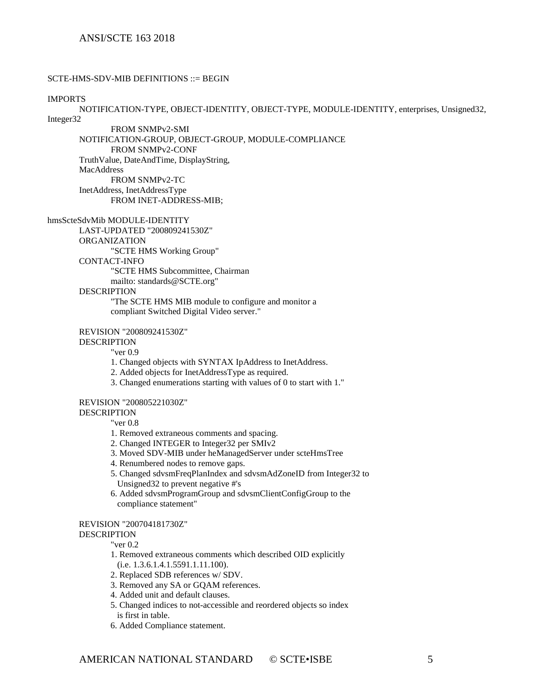#### SCTE-HMS-SDV-MIB DEFINITIONS ::= BEGIN

#### IMPORTS

NOTIFICATION-TYPE, OBJECT-IDENTITY, OBJECT-TYPE, MODULE-IDENTITY, enterprises, Unsigned32, Integer32

FROM SNMPv2-SMI NOTIFICATION-GROUP, OBJECT-GROUP, MODULE-COMPLIANCE FROM SNMPv2-CONF TruthValue, DateAndTime, DisplayString, MacAddress FROM SNMPv2-TC

InetAddress, InetAddressType FROM INET-ADDRESS-MIB;

#### hmsScteSdvMib MODULE-IDENTITY

LAST-UPDATED "200809241530Z"

ORGANIZATION

"SCTE HMS Working Group"

#### CONTACT-INFO

"SCTE HMS Subcommittee, Chairman

mailto: standards@SCTE.org"

#### DESCRIPTION

"The SCTE HMS MIB module to configure and monitor a compliant Switched Digital Video server."

#### REVISION "200809241530Z"

#### DESCRIPTION

"ver 0.9

- 1. Changed objects with SYNTAX IpAddress to InetAddress.
- 2. Added objects for InetAddressType as required.
- 3. Changed enumerations starting with values of 0 to start with 1."

#### REVISION "200805221030Z"

**DESCRIPTION** 

"ver 0.8

- 1. Removed extraneous comments and spacing.
- 2. Changed INTEGER to Integer32 per SMIv2
- 3. Moved SDV-MIB under heManagedServer under scteHmsTree
- 4. Renumbered nodes to remove gaps.
- 5. Changed sdvsmFreqPlanIndex and sdvsmAdZoneID from Integer32 to Unsigned32 to prevent negative #'s
- 6. Added sdvsmProgramGroup and sdvsmClientConfigGroup to the compliance statement"

#### REVISION "200704181730Z"

**DESCRIPTION** 

"ver 0.2

- 1. Removed extraneous comments which described OID explicitly (i.e. 1.3.6.1.4.1.5591.1.11.100).
- 2. Replaced SDB references w/ SDV.
- 
- 3. Removed any SA or GQAM references.
- 4. Added unit and default clauses.
- 5. Changed indices to not-accessible and reordered objects so index is first in table.
- 6. Added Compliance statement.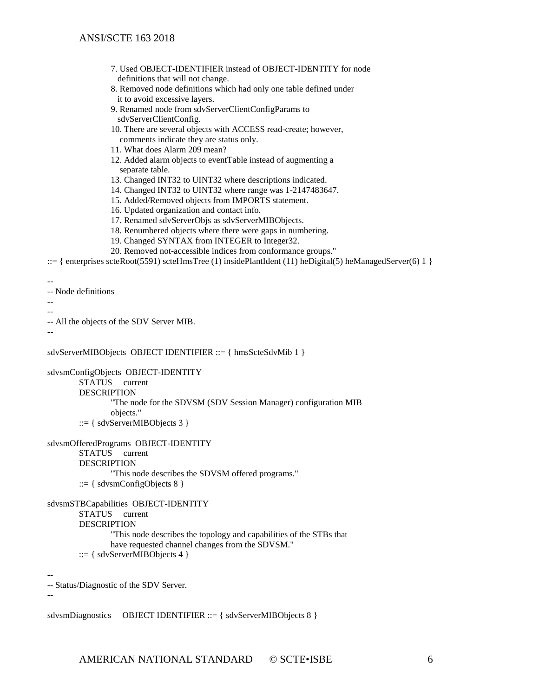- 7. Used OBJECT-IDENTIFIER instead of OBJECT-IDENTITY for node definitions that will not change.
- 8. Removed node definitions which had only one table defined under it to avoid excessive layers.
- 9. Renamed node from sdvServerClientConfigParams to sdvServerClientConfig.
- 10. There are several objects with ACCESS read-create; however, comments indicate they are status only.
- 11. What does Alarm 209 mean?
- 12. Added alarm objects to eventTable instead of augmenting a separate table.
- 13. Changed INT32 to UINT32 where descriptions indicated.
- 14. Changed INT32 to UINT32 where range was 1-2147483647.
- 15. Added/Removed objects from IMPORTS statement.
- 16. Updated organization and contact info.
- 17. Renamed sdvServerObjs as sdvServerMIBObjects.
- 18. Renumbered objects where there were gaps in numbering.
- 19. Changed SYNTAX from INTEGER to Integer32.
- 20. Removed not-accessible indices from conformance groups."

::= { enterprises scteRoot(5591) scteHmsTree (1) insidePlantIdent (11) heDigital(5) heManagedServer(6) 1 }

```
--
```
-- Node definitions

-- --

-- All the objects of the SDV Server MIB.

--

sdvServerMIBObjects OBJECT IDENTIFIER ::= { hmsScteSdvMib 1 }

sdvsmConfigObjects OBJECT-IDENTITY

STATUS current DESCRIPTION

"The node for the SDVSM (SDV Session Manager) configuration MIB objects." ::= { sdvServerMIBObjects 3 }

```
sdvsmOfferedPrograms OBJECT-IDENTITY
```
STATUS current DESCRIPTION

"This node describes the SDVSM offered programs."  $::= \{$  sdvsmConfigObjects 8  $\}$ 

sdvsmSTBCapabilities OBJECT-IDENTITY

STATUS current

DESCRIPTION

"This node describes the topology and capabilities of the STBs that have requested channel changes from the SDVSM."

 $::= \{ sdvServerMIBObjects 4\}$ 

-- -- Status/Diagnostic of the SDV Server.

--

sdvsmDiagnostics OBJECT IDENTIFIER ::= { sdvServerMIBObjects 8 }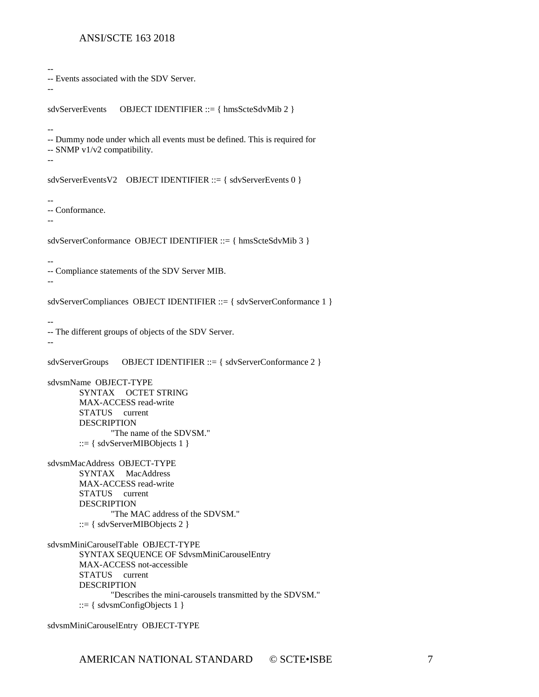```
-- 
-- Events associated with the SDV Server.
--
sdvServerEvents OBJECT IDENTIFIER ::= { hmsScteSdvMib 2 }
-- 
-- Dummy node under which all events must be defined. This is required for
-- SNMP v1/v2 compatibility.
--
sdvServerEventsV2 OBJECT IDENTIFIER ::= { sdvServerEvents 0 }
-- 
-- Conformance.
--
sdvServerConformance OBJECT IDENTIFIER ::= { hmsScteSdvMib 3 }
-- 
-- Compliance statements of the SDV Server MIB.
--
sdvServerCompliances OBJECT IDENTIFIER ::= { sdvServerConformance 1 }
-- 
-- The different groups of objects of the SDV Server.
--
sdvServerGroups OBJECT IDENTIFIER ::= { sdvServerConformance 2 }
sdvsmName OBJECT-TYPE
       SYNTAX OCTET STRING
       MAX-ACCESS read-write
       STATUS current
       DESCRIPTION 
               "The name of the SDVSM."
       ::= { sdvServerMIBObjects 1 }
sdvsmMacAddress OBJECT-TYPE
       SYNTAX MacAddress
       MAX-ACCESS read-write
       STATUS current
       DESCRIPTION 
               "The MAC address of the SDVSM."
       ::= { sdvServerMIBObjects 2 }
sdvsmMiniCarouselTable OBJECT-TYPE
       SYNTAX SEQUENCE OF SdvsmMiniCarouselEntry
       MAX-ACCESS not-accessible
       STATUS current
       DESCRIPTION 
               "Describes the mini-carousels transmitted by the SDVSM."
       ::= \{ sdvsmConfigObjects 1 \}sdvsmMiniCarouselEntry OBJECT-TYPE
```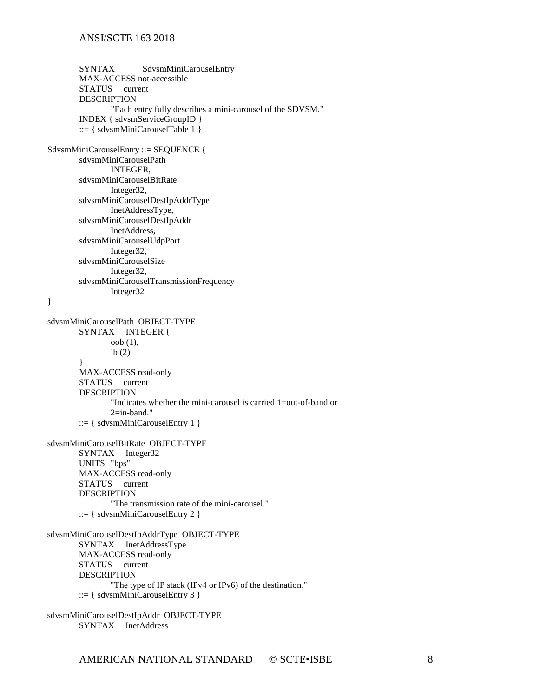SYNTAX SdvsmMiniCarouselEntry MAX-ACCESS not-accessible STATUS current DESCRIPTION "Each entry fully describes a mini-carousel of the SDVSM." INDEX { sdvsmServiceGroupID } ::=  $\{$  sdvsmMiniCarouselTable 1  $\}$ SdvsmMiniCarouselEntry ::= SEQUENCE { sdvsmMiniCarouselPath INTEGER, sdvsmMiniCarouselBitRate Integer32, sdvsmMiniCarouselDestIpAddrType InetAddressType, sdvsmMiniCarouselDestIpAddr InetAddress, sdvsmMiniCarouselUdpPort Integer32, sdvsmMiniCarouselSize Integer32, sdvsmMiniCarouselTransmissionFrequency Integer32 } sdvsmMiniCarouselPath OBJECT-TYPE SYNTAX INTEGER { oob (1), ib $(2)$ } MAX-ACCESS read-only STATUS current DESCRIPTION "Indicates whether the mini-carousel is carried 1=out-of-band or 2=in-band."  $::= \{ sdvsmMiniCarouse!Entry 1 \}$ sdvsmMiniCarouselBitRate OBJECT-TYPE SYNTAX Integer32 UNITS "bps" MAX-ACCESS read-only STATUS current DESCRIPTION "The transmission rate of the mini-carousel." ::=  $\{$  sdvsmMiniCarouselEntry 2  $\}$ sdvsmMiniCarouselDestIpAddrType OBJECT-TYPE SYNTAX InetAddressType MAX-ACCESS read-only STATUS current DESCRIPTION "The type of IP stack (IPv4 or IPv6) of the destination."  $::= {$  sdvsmMiniCarouselEntry 3  $}$ sdvsmMiniCarouselDestIpAddr OBJECT-TYPE

SYNTAX InetAddress

AMERICAN NATIONAL STANDARD © SCTE•ISBE 8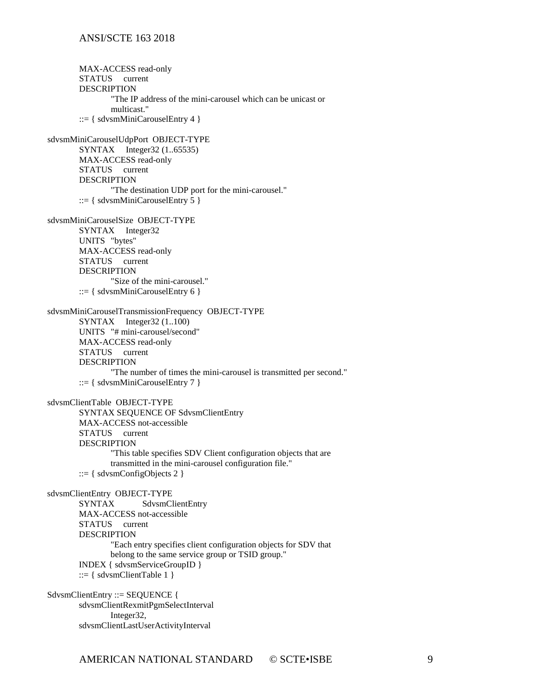MAX-ACCESS read-only STATUS current DESCRIPTION "The IP address of the mini-carousel which can be unicast or multicast."  $::= {$  sdvsmMiniCarouselEntry 4  $}$ sdvsmMiniCarouselUdpPort OBJECT-TYPE SYNTAX Integer32 (1..65535) MAX-ACCESS read-only STATUS current DESCRIPTION "The destination UDP port for the mini-carousel." ::=  $\{$  sdvsmMiniCarouselEntry 5  $\}$ sdvsmMiniCarouselSize OBJECT-TYPE SYNTAX Integer32 UNITS "bytes" MAX-ACCESS read-only STATUS current DESCRIPTION "Size of the mini-carousel."  $::= \{ sdvsmMiniCarouse!Entry 6 \}$ sdvsmMiniCarouselTransmissionFrequency OBJECT-TYPE SYNTAX Integer32 (1..100) UNITS "# mini-carousel/second" MAX-ACCESS read-only STATUS current DESCRIPTION "The number of times the mini-carousel is transmitted per second." ::= { sdvsmMiniCarouselEntry  $7$  } sdvsmClientTable OBJECT-TYPE SYNTAX SEQUENCE OF SdvsmClientEntry MAX-ACCESS not-accessible STATUS current DESCRIPTION "This table specifies SDV Client configuration objects that are transmitted in the mini-carousel configuration file." ::= { sdvsmConfigObjects 2 } sdvsmClientEntry OBJECT-TYPE SYNTAX SdvsmClientEntry MAX-ACCESS not-accessible STATUS current DESCRIPTION "Each entry specifies client configuration objects for SDV that belong to the same service group or TSID group." INDEX { sdvsmServiceGroupID } ::=  $\{$  sdvsmClientTable 1  $\}$ SdvsmClientEntry ::= SEQUENCE { sdvsmClientRexmitPgmSelectInterval Integer32,

sdvsmClientLastUserActivityInterval

AMERICAN NATIONAL STANDARD © SCTE•ISBE 9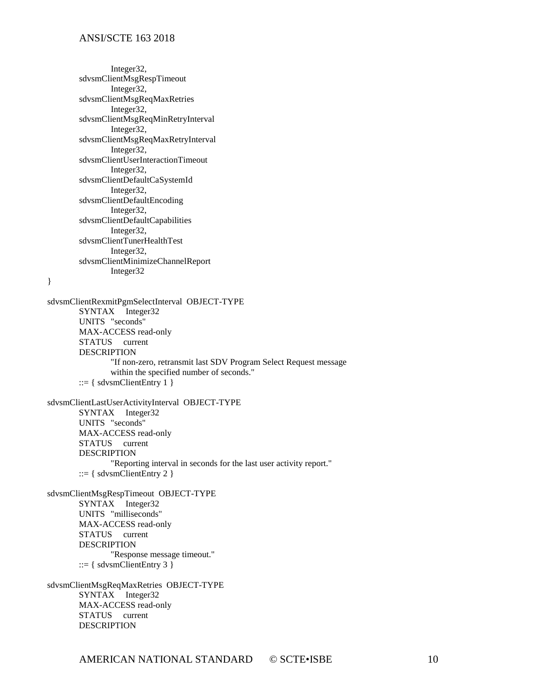Integer32, sdvsmClientMsgRespTimeout Integer32, sdvsmClientMsgReqMaxRetries Integer32, sdvsmClientMsgReqMinRetryInterval Integer32, sdvsmClientMsgReqMaxRetryInterval Integer32, sdvsmClientUserInteractionTimeout Integer32, sdvsmClientDefaultCaSystemId Integer32, sdvsmClientDefaultEncoding Integer32, sdvsmClientDefaultCapabilities Integer32, sdvsmClientTunerHealthTest Integer32, sdvsmClientMinimizeChannelReport Integer32

}

sdvsmClientRexmitPgmSelectInterval OBJECT-TYPE SYNTAX Integer32 UNITS "seconds" MAX-ACCESS read-only STATUS current DESCRIPTION "If non-zero, retransmit last SDV Program Select Request message within the specified number of seconds."  $::= {$  sdvsmClientEntry 1  $}$ sdvsmClientLastUserActivityInterval OBJECT-TYPE SYNTAX Integer32 UNITS "seconds" MAX-ACCESS read-only STATUS current DESCRIPTION "Reporting interval in seconds for the last user activity report."  $::= {$  sdvsmClientEntry 2  $}$ sdvsmClientMsgRespTimeout OBJECT-TYPE SYNTAX Integer32 UNITS "milliseconds" MAX-ACCESS read-only STATUS current DESCRIPTION "Response message timeout."  $::= {$  sdvsmClientEntry 3  $}$ sdvsmClientMsgReqMaxRetries OBJECT-TYPE SYNTAX Integer32 MAX-ACCESS read-only STATUS current

DESCRIPTION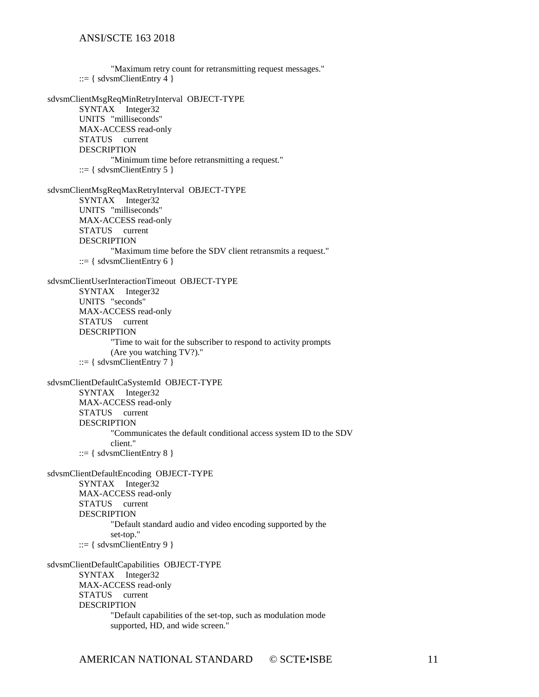"Maximum retry count for retransmitting request messages." ::=  $\{$  sdvsmClientEntry 4  $\}$ sdvsmClientMsgReqMinRetryInterval OBJECT-TYPE SYNTAX Integer32 UNITS "milliseconds" MAX-ACCESS read-only STATUS current DESCRIPTION "Minimum time before retransmitting a request."  $::= {$  sdvsmClientEntry 5  $}$ sdvsmClientMsgReqMaxRetryInterval OBJECT-TYPE SYNTAX Integer32 UNITS "milliseconds" MAX-ACCESS read-only STATUS current DESCRIPTION "Maximum time before the SDV client retransmits a request."  $::= {$  sdvsmClientEntry 6  $}$ sdvsmClientUserInteractionTimeout OBJECT-TYPE SYNTAX Integer32 UNITS "seconds" MAX-ACCESS read-only STATUS current DESCRIPTION "Time to wait for the subscriber to respond to activity prompts (Are you watching TV?)."  $::= \{ sdvsmClientEntry 7 \}$ sdvsmClientDefaultCaSystemId OBJECT-TYPE SYNTAX Integer32 MAX-ACCESS read-only STATUS current DESCRIPTION "Communicates the default conditional access system ID to the SDV client."  $::= \{ sdvsmClientEntry 8 \}$ sdvsmClientDefaultEncoding OBJECT-TYPE SYNTAX Integer32 MAX-ACCESS read-only STATUS current DESCRIPTION "Default standard audio and video encoding supported by the set-top."  $::= \{ sdvsmClientEntry 9 \}$ sdvsmClientDefaultCapabilities OBJECT-TYPE SYNTAX Integer32 MAX-ACCESS read-only STATUS current DESCRIPTION "Default capabilities of the set-top, such as modulation mode supported, HD, and wide screen."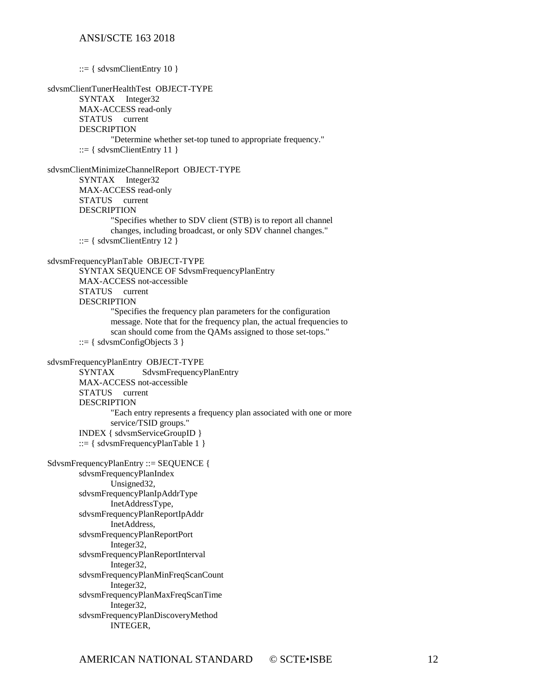$::= \{$  sdvsmClientEntry 10  $\}$ sdvsmClientTunerHealthTest OBJECT-TYPE SYNTAX Integer32 MAX-ACCESS read-only STATUS current DESCRIPTION "Determine whether set-top tuned to appropriate frequency." ::= { sdvsmClientEntry 11 } sdvsmClientMinimizeChannelReport OBJECT-TYPE SYNTAX Integer32 MAX-ACCESS read-only STATUS current DESCRIPTION "Specifies whether to SDV client (STB) is to report all channel changes, including broadcast, or only SDV channel changes."  $::= {$  sdvsmClientEntry 12  $}$ sdvsmFrequencyPlanTable OBJECT-TYPE SYNTAX SEQUENCE OF SdvsmFrequencyPlanEntry MAX-ACCESS not-accessible STATUS current DESCRIPTION "Specifies the frequency plan parameters for the configuration message. Note that for the frequency plan, the actual frequencies to scan should come from the QAMs assigned to those set-tops." ::= { sdvsmConfigObjects 3 } sdvsmFrequencyPlanEntry OBJECT-TYPE SYNTAX SdvsmFrequencyPlanEntry MAX-ACCESS not-accessible STATUS current DESCRIPTION "Each entry represents a frequency plan associated with one or more service/TSID groups." INDEX { sdvsmServiceGroupID } ::=  $\{$  sdvsmFrequencyPlanTable 1  $\}$ SdvsmFrequencyPlanEntry ::= SEQUENCE { sdvsmFrequencyPlanIndex Unsigned32, sdvsmFrequencyPlanIpAddrType InetAddressType, sdvsmFrequencyPlanReportIpAddr InetAddress, sdvsmFrequencyPlanReportPort Integer32, sdvsmFrequencyPlanReportInterval Integer32, sdvsmFrequencyPlanMinFreqScanCount Integer32, sdvsmFrequencyPlanMaxFreqScanTime Integer32, sdvsmFrequencyPlanDiscoveryMethod INTEGER,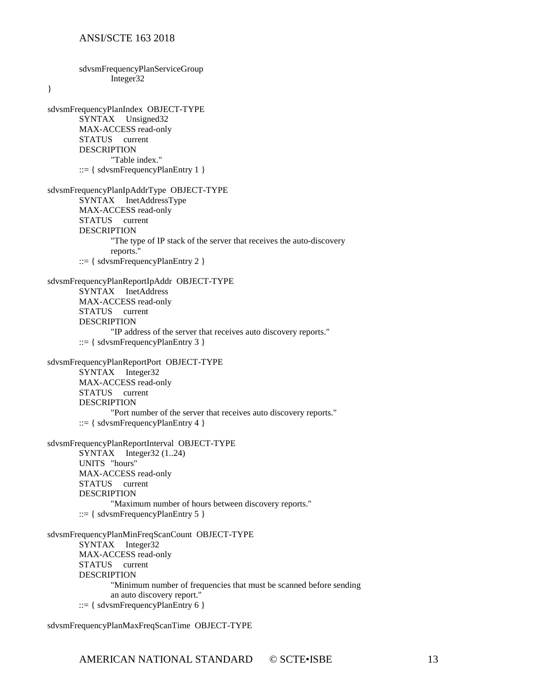sdvsmFrequencyPlanServiceGroup Integer32 } sdvsmFrequencyPlanIndex OBJECT-TYPE SYNTAX Unsigned32 MAX-ACCESS read-only STATUS current DESCRIPTION "Table index." ::=  $\{$  sdvsmFrequencyPlanEntry 1  $\}$ sdvsmFrequencyPlanIpAddrType OBJECT-TYPE SYNTAX InetAddressType MAX-ACCESS read-only STATUS current **DESCRIPTION** "The type of IP stack of the server that receives the auto-discovery reports." ::= { sdvsmFrequencyPlanEntry 2 } sdvsmFrequencyPlanReportIpAddr OBJECT-TYPE SYNTAX InetAddress MAX-ACCESS read-only STATUS current DESCRIPTION "IP address of the server that receives auto discovery reports." ::= { sdvsmFrequencyPlanEntry 3 } sdvsmFrequencyPlanReportPort OBJECT-TYPE SYNTAX Integer32 MAX-ACCESS read-only STATUS current DESCRIPTION "Port number of the server that receives auto discovery reports."  $::= \{ sdvsmFrequencyPlanEntry 4 \}$ sdvsmFrequencyPlanReportInterval OBJECT-TYPE SYNTAX Integer32 (1..24) UNITS "hours" MAX-ACCESS read-only STATUS current DESCRIPTION "Maximum number of hours between discovery reports." ::=  $\{$  sdvsmFrequencyPlanEntry 5  $\}$ sdvsmFrequencyPlanMinFreqScanCount OBJECT-TYPE SYNTAX Integer32 MAX-ACCESS read-only STATUS current **DESCRIPTION** "Minimum number of frequencies that must be scanned before sending an auto discovery report." ::=  $\{$  sdvsmFrequencyPlanEntry 6  $\}$ 

sdvsmFrequencyPlanMaxFreqScanTime OBJECT-TYPE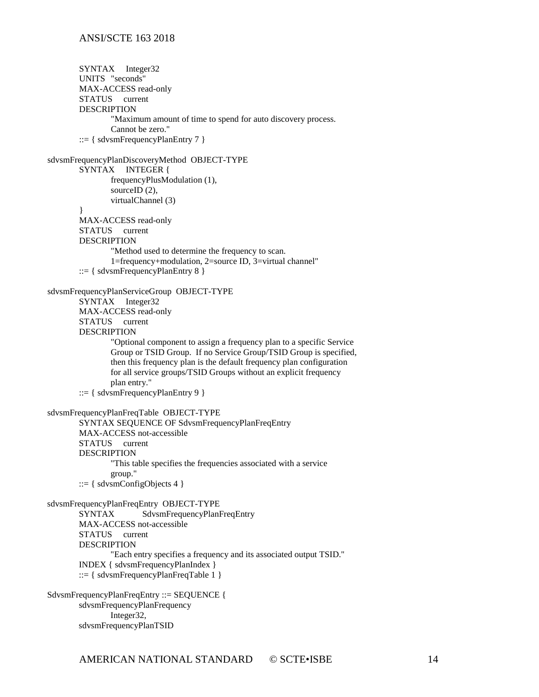```
SYNTAX Integer32
       UNITS "seconds"
       MAX-ACCESS read-only
       STATUS current
        DESCRIPTION 
                "Maximum amount of time to spend for auto discovery process.
               Cannot be zero."
         ::= { sdvsmFrequencyPlanEntry 7 }sdvsmFrequencyPlanDiscoveryMethod OBJECT-TYPE
       SYNTAX INTEGER {
               frequencyPlusModulation (1),
               sourceID (2),
               virtualChannel (3)
        }
       MAX-ACCESS read-only
       STATUS current
       DESCRIPTION 
                "Method used to determine the frequency to scan.
                1=frequency+modulation, 2=source ID, 3=virtual channel"
         ::= { sdvsmFrequencyPlanEntry 8 }sdvsmFrequencyPlanServiceGroup OBJECT-TYPE
       SYNTAX Integer32
       MAX-ACCESS read-only
       STATUS current
       DESCRIPTION 
                "Optional component to assign a frequency plan to a specific Service
               Group or TSID Group. If no Service Group/TSID Group is specified,
               then this frequency plan is the default frequency plan configuration
               for all service groups/TSID Groups without an explicit frequency
               plan entry."
        ::= { sdvsmFrequencyPlanEntry 9 }
sdvsmFrequencyPlanFreqTable OBJECT-TYPE
       SYNTAX SEQUENCE OF SdvsmFrequencyPlanFreqEntry
       MAX-ACCESS not-accessible
       STATUS current
       DESCRIPTION 
                "This table specifies the frequencies associated with a service
               group."
        ::= \{ sdvsmConfigObjects 4 \}sdvsmFrequencyPlanFreqEntry OBJECT-TYPE
                       SdvsmFrequencyPlanFreqEntry
       MAX-ACCESS not-accessible
       STATUS current
       DESCRIPTION 
               "Each entry specifies a frequency and its associated output TSID."
       INDEX { sdvsmFrequencyPlanIndex }
       ::= \{ sdvsmFrequencyPlanFreqTable 1 \}SdvsmFrequencyPlanFreqEntry ::= SEQUENCE {
       sdvsmFrequencyPlanFrequency
               Integer32,
```
sdvsmFrequencyPlanTSID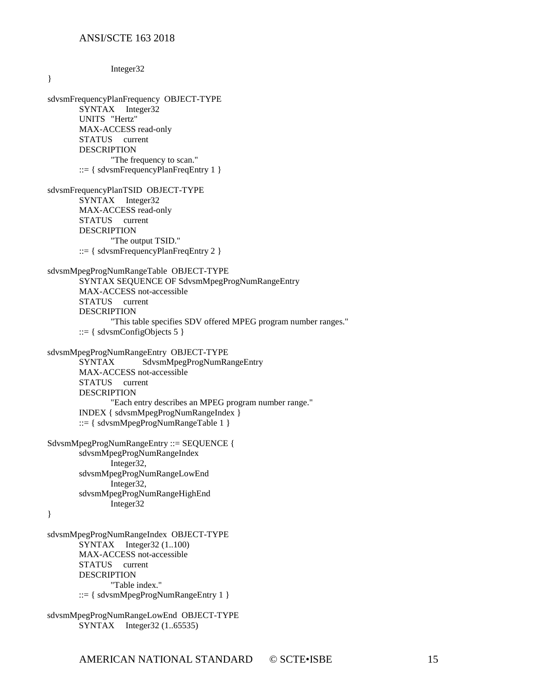| Integer32                                                                                                                                                                                                                                                                                        |  |  |  |
|--------------------------------------------------------------------------------------------------------------------------------------------------------------------------------------------------------------------------------------------------------------------------------------------------|--|--|--|
| }                                                                                                                                                                                                                                                                                                |  |  |  |
| sdvsmFrequencyPlanFrequency OBJECT-TYPE<br>SYNTAX Integer32<br>UNITS "Hertz"<br>MAX-ACCESS read-only<br>STATUS current<br><b>DESCRIPTION</b><br>"The frequency to scan."<br>$ ::= \{ sdvsmFrequencyPlanFreqEntry 1 \}$                                                                           |  |  |  |
| sdvsmFrequencyPlanTSID OBJECT-TYPE<br>SYNTAX Integer32<br>MAX-ACCESS read-only<br>STATUS current<br><b>DESCRIPTION</b><br>"The output TSID."<br>$ ::= \{ sdvsmFrequencyPlanFreqEntry 2\}$                                                                                                        |  |  |  |
| sdvsmMpegProgNumRangeTable OBJECT-TYPE<br>SYNTAX SEQUENCE OF SdvsmMpegProgNumRangeEntry<br>MAX-ACCESS not-accessible<br>STATUS current<br><b>DESCRIPTION</b><br>"This table specifies SDV offered MPEG program number ranges."<br>$ ::= \{ sdvsmConfigObjects 5\}$                               |  |  |  |
| sdvsmMpegProgNumRangeEntry OBJECT-TYPE<br>SdvsmMpegProgNumRangeEntry<br>SYNTAX<br>MAX-ACCESS not-accessible<br>STATUS current<br><b>DESCRIPTION</b><br>"Each entry describes an MPEG program number range."<br>INDEX { sdvsmMpegProgNumRangeIndex }<br>$ ::= \{ sdvsmMpegProgNumRangeTable 1 \}$ |  |  |  |
| SdvsmMpegProgNumRangeEntry ::= SEQUENCE {<br>sdvsmMpegProgNumRangeIndex<br>Integer32,<br>sdvsmMpegProgNumRangeLowEnd<br>Integer32,<br>sdvsmMpegProgNumRangeHighEnd<br>Integer32<br>}                                                                                                             |  |  |  |
| sdvsmMpegProgNumRangeIndex OBJECT-TYPE<br>Integer32 (1100)<br><b>SYNTAX</b><br>MAX-ACCESS not-accessible<br><b>STATUS</b><br>current<br><b>DESCRIPTION</b><br>"Table index."<br>$ ::= \{ sdvsmMpegProgNumRangeEntry 1 \}$                                                                        |  |  |  |

sdvsmMpegProgNumRangeLowEnd OBJECT-TYPE SYNTAX Integer32 (1..65535)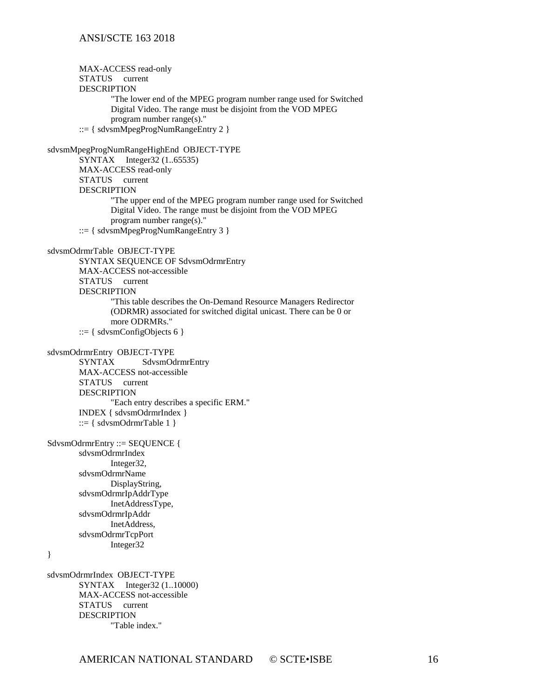MAX-ACCESS read-only STATUS current DESCRIPTION "The lower end of the MPEG program number range used for Switched Digital Video. The range must be disjoint from the VOD MPEG program number range(s)." ::= { sdvsmMpegProgNumRangeEntry 2 } sdvsmMpegProgNumRangeHighEnd OBJECT-TYPE SYNTAX Integer32 (1..65535) MAX-ACCESS read-only STATUS current DESCRIPTION "The upper end of the MPEG program number range used for Switched Digital Video. The range must be disjoint from the VOD MPEG program number range(s)." ::= { sdvsmMpegProgNumRangeEntry 3 } sdvsmOdrmrTable OBJECT-TYPE SYNTAX SEQUENCE OF SdvsmOdrmrEntry MAX-ACCESS not-accessible STATUS current DESCRIPTION "This table describes the On-Demand Resource Managers Redirector (ODRMR) associated for switched digital unicast. There can be 0 or more ODRMRs." ::=  $\{$  sdvsmConfigObjects 6  $\}$ sdvsmOdrmrEntry OBJECT-TYPE<br>SYNTAX SdvsmOd SdvsmOdrmrEntry MAX-ACCESS not-accessible STATUS current DESCRIPTION "Each entry describes a specific ERM." INDEX { sdvsmOdrmrIndex } ::=  $\{$  sdvsmOdrmrTable 1  $\}$ SdvsmOdrmrEntry ::= SEQUENCE { sdvsmOdrmrIndex Integer32, sdvsmOdrmrName DisplayString, sdvsmOdrmrIpAddrType InetAddressType, sdvsmOdrmrIpAddr InetAddress, sdvsmOdrmrTcpPort Integer32 } sdvsmOdrmrIndex OBJECT-TYPE SYNTAX Integer32 (1..10000) MAX-ACCESS not-accessible STATUS current DESCRIPTION "Table index."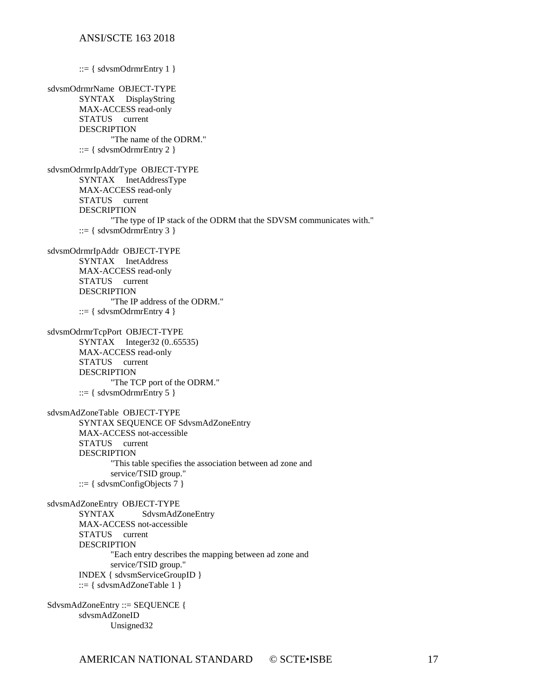::=  $\{$  sdvsmOdrmrEntry 1  $\}$ sdvsmOdrmrName OBJECT-TYPE SYNTAX DisplayString MAX-ACCESS read-only STATUS current DESCRIPTION "The name of the ODRM."  $::= {$  sdvsmOdrmrEntry 2  $}$ sdvsmOdrmrIpAddrType OBJECT-TYPE SYNTAX InetAddressType MAX-ACCESS read-only STATUS current DESCRIPTION "The type of IP stack of the ODRM that the SDVSM communicates with." ::= { sdvsmOdrmrEntry 3 } sdvsmOdrmrIpAddr OBJECT-TYPE SYNTAX InetAddress MAX-ACCESS read-only STATUS current DESCRIPTION "The IP address of the ODRM." ::=  $\{$  sdvsmOdrmrEntry 4  $\}$ sdvsmOdrmrTcpPort OBJECT-TYPE SYNTAX Integer32 (0..65535) MAX-ACCESS read-only STATUS current DESCRIPTION "The TCP port of the ODRM." ::=  $\{$  sdvsmOdrmrEntry 5  $\}$ sdvsmAdZoneTable OBJECT-TYPE SYNTAX SEQUENCE OF SdvsmAdZoneEntry MAX-ACCESS not-accessible STATUS current DESCRIPTION "This table specifies the association between ad zone and service/TSID group." ::=  $\{$  sdvsmConfigObjects 7  $\}$ sdvsmAdZoneEntry OBJECT-TYPE SdvsmAdZoneEntry MAX-ACCESS not-accessible STATUS current DESCRIPTION "Each entry describes the mapping between ad zone and service/TSID group." INDEX { sdvsmServiceGroupID } ::= { sdvsmAdZoneTable 1 } SdvsmAdZoneEntry ::= SEQUENCE { sdvsmAdZoneID

Unsigned32

AMERICAN NATIONAL STANDARD © SCTE•ISBE 17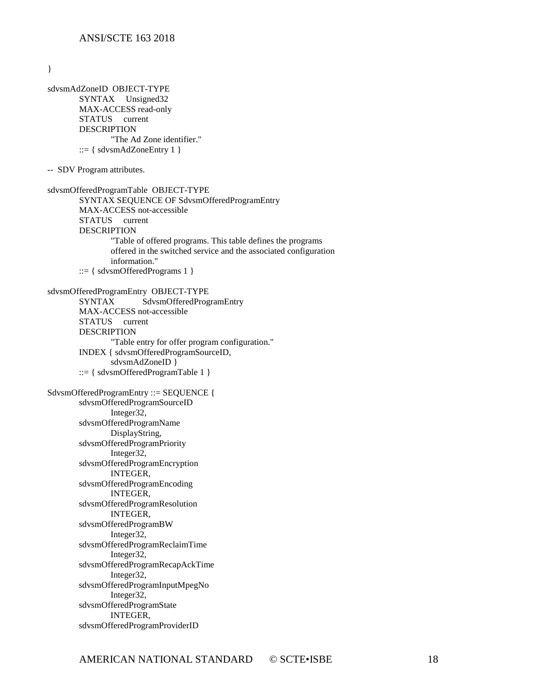}

sdvsmAdZoneID OBJECT-TYPE SYNTAX Unsigned32 MAX-ACCESS read-only STATUS current DESCRIPTION "The Ad Zone identifier." ::=  $\{$  sdvsmAdZoneEntry 1  $\}$ -- SDV Program attributes. sdvsmOfferedProgramTable OBJECT-TYPE SYNTAX SEQUENCE OF SdvsmOfferedProgramEntry MAX-ACCESS not-accessible STATUS current DESCRIPTION "Table of offered programs. This table defines the programs offered in the switched service and the associated configuration information." ::= { sdvsmOfferedPrograms 1 } sdvsmOfferedProgramEntry OBJECT-TYPE SYNTAX SdvsmOfferedProgramEntry MAX-ACCESS not-accessible STATUS current DESCRIPTION "Table entry for offer program configuration." INDEX { sdvsmOfferedProgramSourceID, sdvsmAdZoneID } ::= { sdvsmOfferedProgramTable 1 } SdvsmOfferedProgramEntry ::= SEQUENCE { sdvsmOfferedProgramSourceID Integer32, sdvsmOfferedProgramName DisplayString, sdvsmOfferedProgramPriority Integer32, sdvsmOfferedProgramEncryption INTEGER, sdvsmOfferedProgramEncoding INTEGER, sdvsmOfferedProgramResolution INTEGER, sdvsmOfferedProgramBW Integer32, sdvsmOfferedProgramReclaimTime Integer32, sdvsmOfferedProgramRecapAckTime Integer32, sdvsmOfferedProgramInputMpegNo Integer32, sdvsmOfferedProgramState INTEGER, sdvsmOfferedProgramProviderID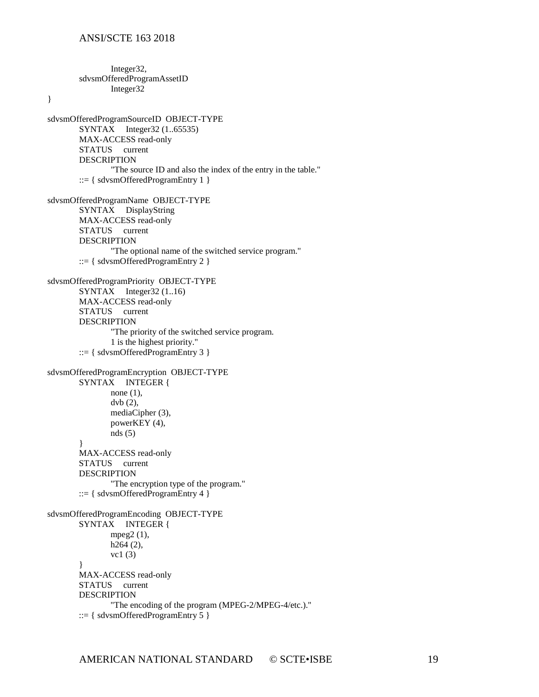Integer32,

sdvsmOfferedProgramAssetID Integer32 } sdvsmOfferedProgramSourceID OBJECT-TYPE SYNTAX Integer32 (1..65535) MAX-ACCESS read-only STATUS current DESCRIPTION "The source ID and also the index of the entry in the table."  $::= \{ sdvsmOfficeredProgramEntry 1 \}$ sdvsmOfferedProgramName OBJECT-TYPE SYNTAX DisplayString MAX-ACCESS read-only STATUS current DESCRIPTION "The optional name of the switched service program." ::= { sdvsmOfferedProgramEntry 2 } sdvsmOfferedProgramPriority OBJECT-TYPE  $SYNTAX$  Integer 32 (1.16) MAX-ACCESS read-only STATUS current DESCRIPTION "The priority of the switched service program. 1 is the highest priority." ::= { sdvsmOfferedProgramEntry 3 } sdvsmOfferedProgramEncryption OBJECT-TYPE SYNTAX INTEGER { none (1), dvb (2), mediaCipher (3), powerKEY (4), nds (5) } MAX-ACCESS read-only STATUS current DESCRIPTION "The encryption type of the program." ::= { sdvsmOfferedProgramEntry 4 } sdvsmOfferedProgramEncoding OBJECT-TYPE SYNTAX INTEGER { mpeg2 (1), h264 (2), vc1 (3) } MAX-ACCESS read-only STATUS current DESCRIPTION "The encoding of the program (MPEG-2/MPEG-4/etc.)." ::=  $\{$  sdvsmOfferedProgramEntry 5  $\}$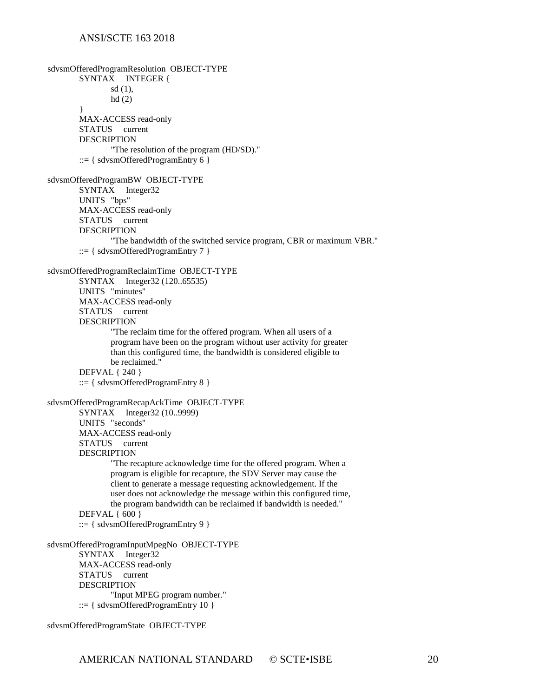sdvsmOfferedProgramResolution OBJECT-TYPE SYNTAX INTEGER { sd (1), hd (2) } MAX-ACCESS read-only STATUS current DESCRIPTION "The resolution of the program (HD/SD)."  $::= \{$  sdvsmOfferedProgramEntry 6  $\}$ sdvsmOfferedProgramBW OBJECT-TYPE SYNTAX Integer32 UNITS "bps" MAX-ACCESS read-only STATUS current **DESCRIPTION** "The bandwidth of the switched service program, CBR or maximum VBR." ::= { sdvsmOfferedProgramEntry 7 } sdvsmOfferedProgramReclaimTime OBJECT-TYPE SYNTAX Integer32 (120..65535) UNITS "minutes" MAX-ACCESS read-only STATUS current DESCRIPTION "The reclaim time for the offered program. When all users of a program have been on the program without user activity for greater than this configured time, the bandwidth is considered eligible to be reclaimed." DEFVAL { 240 } ::= { sdvsmOfferedProgramEntry 8 } sdvsmOfferedProgramRecapAckTime OBJECT-TYPE SYNTAX Integer32 (10..9999) UNITS "seconds" MAX-ACCESS read-only STATUS current DESCRIPTION "The recapture acknowledge time for the offered program. When a program is eligible for recapture, the SDV Server may cause the client to generate a message requesting acknowledgement. If the user does not acknowledge the message within this configured time, the program bandwidth can be reclaimed if bandwidth is needed." DEFVAL { 600 } ::= { sdvsmOfferedProgramEntry 9 } sdvsmOfferedProgramInputMpegNo OBJECT-TYPE SYNTAX Integer32 MAX-ACCESS read-only STATUS current DESCRIPTION "Input MPEG program number."  $::= {$  sdvsmOfferedProgramEntry 10  $}$ 

sdvsmOfferedProgramState OBJECT-TYPE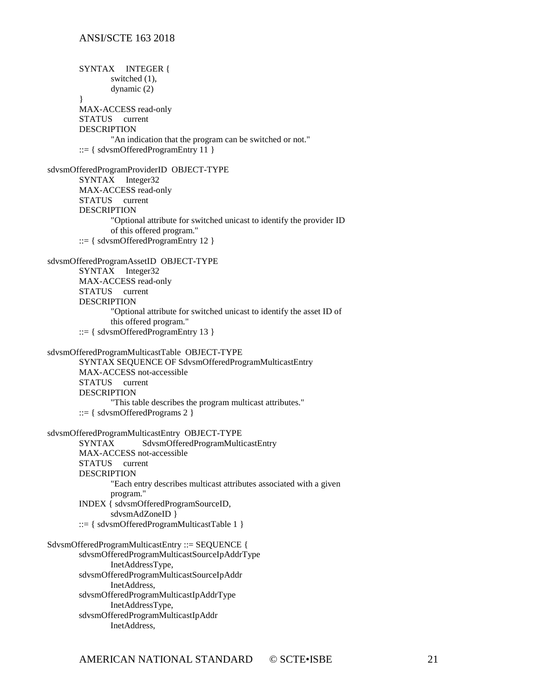SYNTAX INTEGER { switched  $(1)$ , dynamic (2) } MAX-ACCESS read-only STATUS current DESCRIPTION "An indication that the program can be switched or not."  $::= {$  sdvsmOfferedProgramEntry 11  $}$ sdvsmOfferedProgramProviderID OBJECT-TYPE SYNTAX Integer32 MAX-ACCESS read-only STATUS current DESCRIPTION "Optional attribute for switched unicast to identify the provider ID of this offered program." ::= { sdvsmOfferedProgramEntry 12 } sdvsmOfferedProgramAssetID OBJECT-TYPE SYNTAX Integer32 MAX-ACCESS read-only STATUS current DESCRIPTION "Optional attribute for switched unicast to identify the asset ID of this offered program."  $::= \{ sdvsmOfficeredProgramEntry 13 \}$ sdvsmOfferedProgramMulticastTable OBJECT-TYPE SYNTAX SEQUENCE OF SdvsmOfferedProgramMulticastEntry MAX-ACCESS not-accessible STATUS current DESCRIPTION "This table describes the program multicast attributes."  $::= \{$  sdvsmOfferedPrograms 2  $\}$ sdvsmOfferedProgramMulticastEntry OBJECT-TYPE SYNTAX SdvsmOfferedProgramMulticastEntry MAX-ACCESS not-accessible STATUS current DESCRIPTION "Each entry describes multicast attributes associated with a given program." INDEX { sdvsmOfferedProgramSourceID, sdvsmAdZoneID }  $::= \{ sdvsmOfficeredProgramMulticastTable 1 \}$ SdvsmOfferedProgramMulticastEntry ::= SEQUENCE { sdvsmOfferedProgramMulticastSourceIpAddrType InetAddressType, sdvsmOfferedProgramMulticastSourceIpAddr InetAddress, sdvsmOfferedProgramMulticastIpAddrType InetAddressType, sdvsmOfferedProgramMulticastIpAddr InetAddress,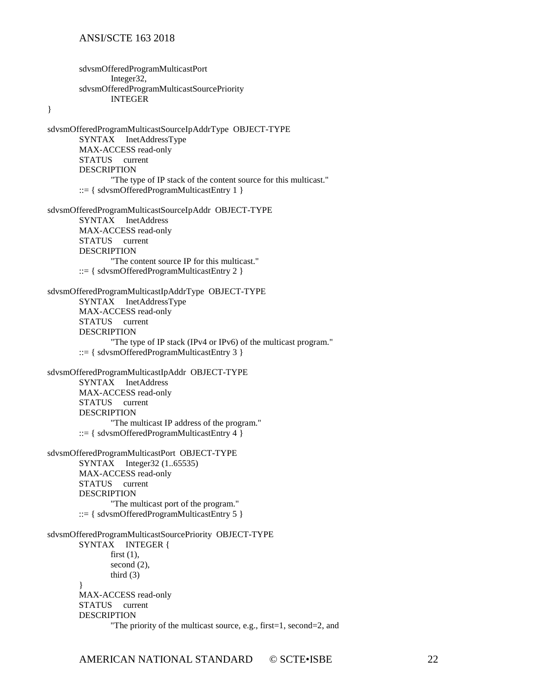sdvsmOfferedProgramMulticastPort Integer32, sdvsmOfferedProgramMulticastSourcePriority INTEGER

}

sdvsmOfferedProgramMulticastSourceIpAddrType OBJECT-TYPE SYNTAX InetAddressType MAX-ACCESS read-only STATUS current DESCRIPTION "The type of IP stack of the content source for this multicast."  $::= {$ sdvsmOfferedProgramMulticastEntry 1  $}$ sdvsmOfferedProgramMulticastSourceIpAddr OBJECT-TYPE SYNTAX InetAddress MAX-ACCESS read-only STATUS current DESCRIPTION "The content source IP for this multicast."  $::= \{$  sdvsmOfferedProgramMulticastEntry 2  $\}$ sdvsmOfferedProgramMulticastIpAddrType OBJECT-TYPE SYNTAX InetAddressType MAX-ACCESS read-only STATUS current DESCRIPTION "The type of IP stack (IPv4 or IPv6) of the multicast program." ::= { sdvsmOfferedProgramMulticastEntry 3 } sdvsmOfferedProgramMulticastIpAddr OBJECT-TYPE SYNTAX InetAddress MAX-ACCESS read-only STATUS current DESCRIPTION "The multicast IP address of the program."  $::= \{ sdvsmOfficeredProgramMulticastEntry 4 \}$ sdvsmOfferedProgramMulticastPort OBJECT-TYPE SYNTAX Integer32 (1..65535) MAX-ACCESS read-only STATUS current DESCRIPTION "The multicast port of the program."  $::= \{ sdvsmOfficeredProgramMulticastEntry 5 \}$ sdvsmOfferedProgramMulticastSourcePriority OBJECT-TYPE SYNTAX INTEGER { first  $(1)$ , second  $(2)$ , third (3) } MAX-ACCESS read-only STATUS current DESCRIPTION "The priority of the multicast source, e.g., first=1, second=2, and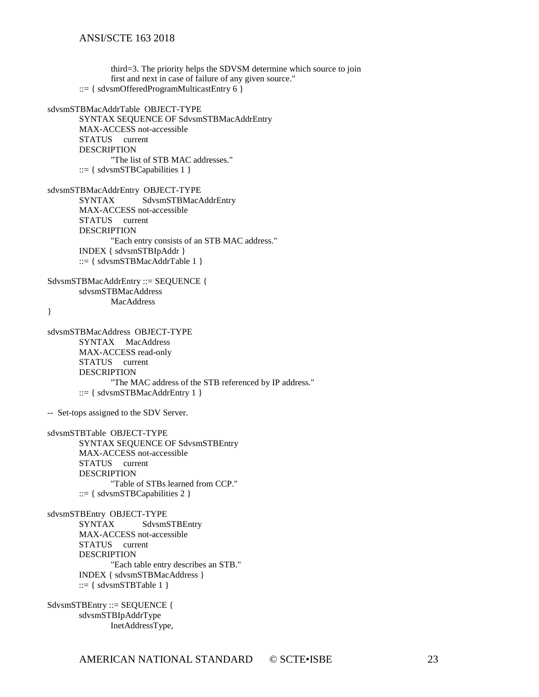third=3. The priority helps the SDVSM determine which source to join first and next in case of failure of any given source."  $::= {$  sdvsmOfferedProgramMulticastEntry 6  $}$ sdvsmSTBMacAddrTable OBJECT-TYPE SYNTAX SEQUENCE OF SdvsmSTBMacAddrEntry MAX-ACCESS not-accessible STATUS current DESCRIPTION "The list of STB MAC addresses." ::=  $\{$  sdvsmSTBCapabilities 1  $\}$ sdvsmSTBMacAddrEntry OBJECT-TYPE SYNTAX SdvsmSTBMacAddrEntry MAX-ACCESS not-accessible STATUS current **DESCRIPTION** "Each entry consists of an STB MAC address." INDEX { sdvsmSTBIpAddr } ::= { sdvsmSTBMacAddrTable 1 } SdvsmSTBMacAddrEntry ::= SEQUENCE { sdvsmSTBMacAddress **MacAddress** } sdvsmSTBMacAddress OBJECT-TYPE SYNTAX MacAddress MAX-ACCESS read-only STATUS current DESCRIPTION "The MAC address of the STB referenced by IP address." ::= { sdvsmSTBMacAddrEntry 1 } -- Set-tops assigned to the SDV Server. sdvsmSTBTable OBJECT-TYPE SYNTAX SEQUENCE OF SdvsmSTBEntry MAX-ACCESS not-accessible STATUS current DESCRIPTION "Table of STBs learned from CCP." ::= { sdvsmSTBCapabilities 2 } sdvsmSTBEntry OBJECT-TYPE<br>SYNTAX SdvsmS SdvsmSTBEntry MAX-ACCESS not-accessible STATUS current DESCRIPTION "Each table entry describes an STB." INDEX { sdvsmSTBMacAddress }

 $::= \{ sdvsmSTBTable 1 \}$ 

SdvsmSTBEntry ::= SEQUENCE { sdvsmSTBIpAddrType InetAddressType,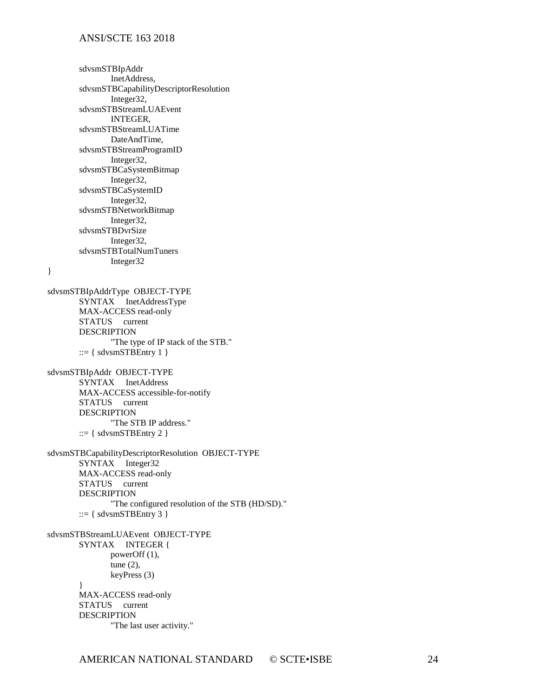}

sdvsmSTBIpAddr InetAddress, sdvsmSTBCapabilityDescriptorResolution Integer32, sdvsmSTBStreamLUAEvent INTEGER, sdvsmSTBStreamLUATime DateAndTime, sdvsmSTBStreamProgramID Integer32, sdvsmSTBCaSystemBitmap Integer32, sdvsmSTBCaSystemID Integer32, sdvsmSTBNetworkBitmap Integer32, sdvsmSTBDvrSize Integer32, sdvsmSTBTotalNumTuners Integer32 sdvsmSTBIpAddrType OBJECT-TYPE SYNTAX InetAddressType MAX-ACCESS read-only STATUS current DESCRIPTION "The type of IP stack of the STB."  $::= {$  sdvsmSTBEntry 1  $}$ sdvsmSTBIpAddr OBJECT-TYPE SYNTAX InetAddress MAX-ACCESS accessible-for-notify STATUS current DESCRIPTION "The STB IP address."  $::= { \}$  sdvsmSTBEntry 2  $}$ sdvsmSTBCapabilityDescriptorResolution OBJECT-TYPE SYNTAX Integer32 MAX-ACCESS read-only STATUS current DESCRIPTION "The configured resolution of the STB (HD/SD)."  $::= \{ sdvsmSTBEntry 3 \}$ sdvsmSTBStreamLUAEvent OBJECT-TYPE SYNTAX INTEGER { powerOff (1), tune (2), keyPress (3) } MAX-ACCESS read-only STATUS current

DESCRIPTION "The last user activity."

AMERICAN NATIONAL STANDARD © SCTE•ISBE 24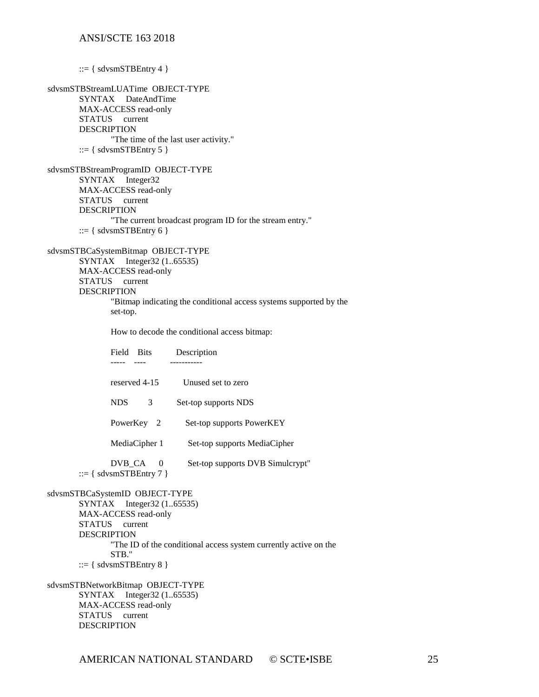::=  $\{$  sdvsmSTBEntry 4  $\}$ sdvsmSTBStreamLUATime OBJECT-TYPE SYNTAX DateAndTime MAX-ACCESS read-only STATUS current DESCRIPTION "The time of the last user activity."  $::= { \}$  sdvsmSTBEntry 5  $}$ sdvsmSTBStreamProgramID OBJECT-TYPE SYNTAX Integer32 MAX-ACCESS read-only STATUS current DESCRIPTION "The current broadcast program ID for the stream entry."  $::= {$  sdvsmSTBEntry 6  $}$ sdvsmSTBCaSystemBitmap OBJECT-TYPE SYNTAX Integer32 (1..65535) MAX-ACCESS read-only STATUS current DESCRIPTION "Bitmap indicating the conditional access systems supported by the set-top. How to decode the conditional access bitmap: Field Bits Description ----- ---- ---------- reserved 4-15 Unused set to zero NDS 3 Set-top supports NDS PowerKey 2 Set-top supports PowerKEY MediaCipher 1 Set-top supports MediaCipher DVB\_CA 0 Set-top supports DVB Simulcrypt"  $::= {$  sdvsmSTBEntry 7  $}$ sdvsmSTBCaSystemID OBJECT-TYPE SYNTAX Integer32 (1..65535) MAX-ACCESS read-only STATUS current DESCRIPTION "The ID of the conditional access system currently active on the

STB."

 $::= { \text{sdvsmSTBE}$ ntry 8  $}$ 

sdvsmSTBNetworkBitmap OBJECT-TYPE SYNTAX Integer32 (1..65535) MAX-ACCESS read-only STATUS current DESCRIPTION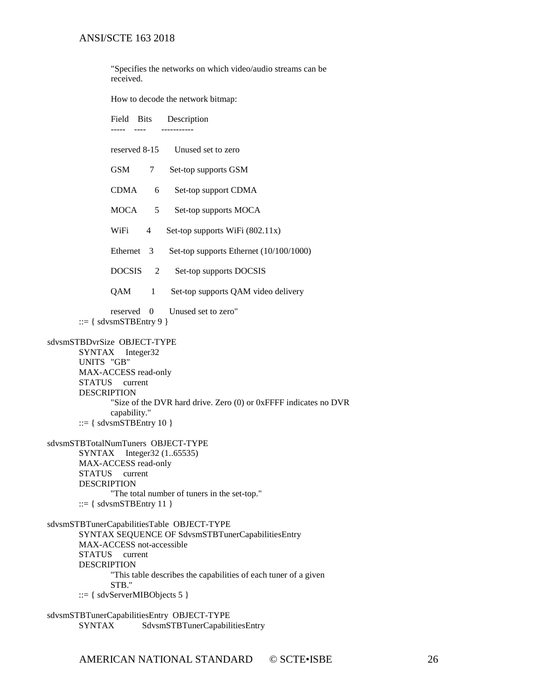"Specifies the networks on which video/audio streams can be received.

How to decode the network bitmap:

Field Bits Description ----- ---- -----------

- reserved 8-15 Unused set to zero
- GSM 7 Set-top supports GSM
- CDMA 6 Set-top support CDMA
- MOCA 5 Set-top supports MOCA
- WiFi 4 Set-top supports WiFi (802.11x)
- Ethernet 3 Set-top supports Ethernet (10/100/1000)
- DOCSIS 2 Set-top supports DOCSIS
- QAM 1 Set-top supports QAM video delivery

reserved 0 Unused set to zero"  $::= \{ sdvsmSTBEntry 9 \}$ 

#### sdvsmSTBDvrSize OBJECT-TYPE

SYNTAX Integer32 UNITS "GB" MAX-ACCESS read-only STATUS current DESCRIPTION "Size of the DVR hard drive. Zero (0) or 0xFFFF indicates no DVR capability." ::=  $\{$  sdvsmSTBEntry 10  $\}$ 

#### sdvsmSTBTotalNumTuners OBJECT-TYPE

SYNTAX Integer32 (1..65535) MAX-ACCESS read-only STATUS current **DESCRIPTION** "The total number of tuners in the set-top."  $::= {$  sdvsmSTBEntry 11  $}$ 

#### sdvsmSTBTunerCapabilitiesTable OBJECT-TYPE SYNTAX SEQUENCE OF SdvsmSTBTunerCapabilitiesEntry MAX-ACCESS not-accessible STATUS current DESCRIPTION "This table describes the capabilities of each tuner of a given STB." ::= { sdvServerMIBObjects 5 }

sdvsmSTBTunerCapabilitiesEntry OBJECT-TYPE SYNTAX SdvsmSTBTunerCapabilitiesEntry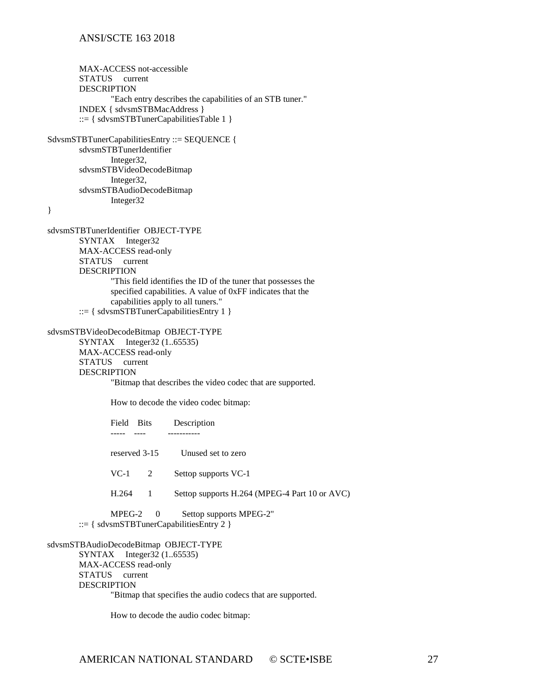```
MAX-ACCESS not-accessible
       STATUS current
       DESCRIPTION 
               "Each entry describes the capabilities of an STB tuner."
       INDEX { sdvsmSTBMacAddress }
       ::= { sdvsmSTBTunerCapabilitiesTable 1 }
SdvsmSTBTunerCapabilitiesEntry ::= SEQUENCE {
       sdvsmSTBTunerIdentifier
               Integer32,
       sdvsmSTBVideoDecodeBitmap
               Integer32,
       sdvsmSTBAudioDecodeBitmap
               Integer32
}
sdvsmSTBTunerIdentifier OBJECT-TYPE
       SYNTAX Integer32
       MAX-ACCESS read-only
       STATUS current
       DESCRIPTION 
               "This field identifies the ID of the tuner that possesses the
               specified capabilities. A value of 0xFF indicates that the
               capabilities apply to all tuners."
        ::= { sdvsmSTBTunerCapabilitiesEntry 1 }sdvsmSTBVideoDecodeBitmap OBJECT-TYPE
       SYNTAX Integer32 (1..65535)
       MAX-ACCESS read-only
       STATUS current
       DESCRIPTION 
               "Bitmap that describes the video codec that are supported.
               How to decode the video codec bitmap:
               Field Bits Description
               ----- ---- -----------
               reserved 3-15 Unused set to zero
               VC-1 2 Settop supports VC-1
               H.264 1 Settop supports H.264 (MPEG-4 Part 10 or AVC)
               MPEG-2 0 Settop supports MPEG-2"
       ::= { sdvsmSTBTunerCapabilitiesEntry 2 }
sdvsmSTBAudioDecodeBitmap OBJECT-TYPE
       SYNTAX Integer32 (1..65535)
```
MAX-ACCESS read-only STATUS current DESCRIPTION "Bitmap that specifies the audio codecs that are supported.

How to decode the audio codec bitmap: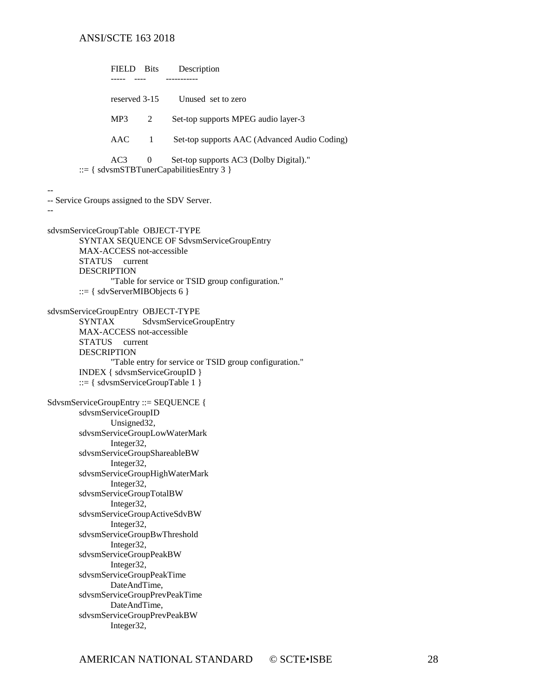|                                                                                            | FIELD Bits                                                                                                                                                                                                                                                             |          | Description                                                                                                                                                                                                                     |
|--------------------------------------------------------------------------------------------|------------------------------------------------------------------------------------------------------------------------------------------------------------------------------------------------------------------------------------------------------------------------|----------|---------------------------------------------------------------------------------------------------------------------------------------------------------------------------------------------------------------------------------|
|                                                                                            | reserved 3-15                                                                                                                                                                                                                                                          |          | Unused set to zero                                                                                                                                                                                                              |
|                                                                                            | MP <sub>3</sub>                                                                                                                                                                                                                                                        | 2        | Set-top supports MPEG audio layer-3                                                                                                                                                                                             |
|                                                                                            | AAC                                                                                                                                                                                                                                                                    | -1       | Set-top supports AAC (Advanced Audio Coding)                                                                                                                                                                                    |
|                                                                                            | AC <sub>3</sub>                                                                                                                                                                                                                                                        | $\Omega$ | Set-top supports AC3 (Dolby Digital)."<br>$ ::= \{ sdvsmSTBTunerCapabilitiesEntry 3 \}$                                                                                                                                         |
| -- Service Groups assigned to the SDV Server.                                              |                                                                                                                                                                                                                                                                        |          |                                                                                                                                                                                                                                 |
| sdvsmServiceGroupTable OBJECT-TYPE<br><b>DESCRIPTION</b>                                   | MAX-ACCESS not-accessible<br>STATUS current<br>$ ::= \{ sdvServerMIBObjects 6\}$                                                                                                                                                                                       |          | SYNTAX SEQUENCE OF SdvsmServiceGroupEntry<br>"Table for service or TSID group configuration."                                                                                                                                   |
| sdvsmServiceGroupEntry OBJECT-TYPE<br><b>SYNTAX</b><br><b>STATUS</b><br><b>DESCRIPTION</b> | MAX-ACCESS not-accessible<br>current                                                                                                                                                                                                                                   |          | SdvsmServiceGroupEntry<br>"Table entry for service or TSID group configuration."<br>INDEX { sdvsmServiceGroupID }<br>$ ::= \{ sdvsmServiceGroupTable 1 \}$                                                                      |
| SdvsmServiceGroupEntry ::= SEQUENCE {                                                      | sdvsmServiceGroupID<br>Unsigned32,<br>Integer32,<br>Integer32,<br>Integer32,<br>sdvsmServiceGroupTotalBW<br>Integer32,<br>Integer32,<br>Integer32,<br>sdvsmServiceGroupPeakBW<br>Integer32,<br>sdvsmServiceGroupPeakTime<br>DateAndTime,<br>DateAndTime,<br>Integer32, |          | sdvsmServiceGroupLowWaterMark<br>sdvsmServiceGroupShareableBW<br>sdvsmServiceGroupHighWaterMark<br>sdvsmServiceGroupActiveSdvBW<br>sdvsmServiceGroupBwThreshold<br>sdvsmServiceGroupPrevPeakTime<br>sdvsmServiceGroupPrevPeakBW |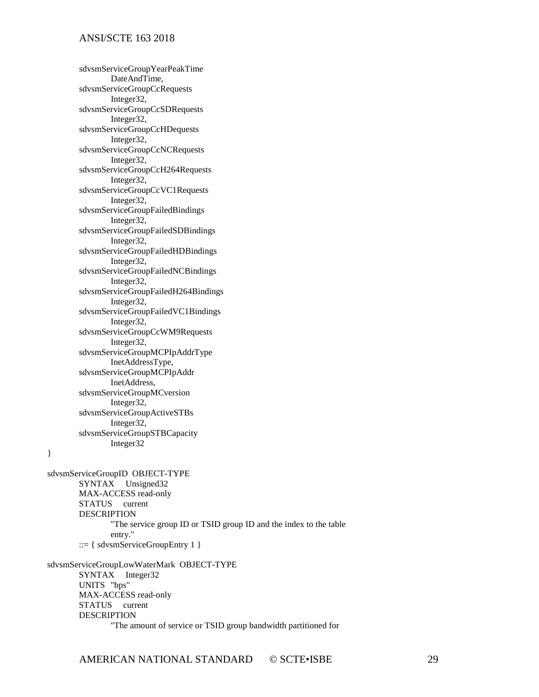sdvsmServiceGroupYearPeakTime DateAndTime, sdvsmServiceGroupCcRequests Integer32, sdvsmServiceGroupCcSDRequests Integer32, sdvsmServiceGroupCcHDequests Integer32, sdvsmServiceGroupCcNCRequests Integer32, sdvsmServiceGroupCcH264Requests Integer32, sdvsmServiceGroupCcVC1Requests Integer32, sdvsmServiceGroupFailedBindings Integer32, sdvsmServiceGroupFailedSDBindings Integer32, sdvsmServiceGroupFailedHDBindings Integer32, sdvsmServiceGroupFailedNCBindings Integer32, sdvsmServiceGroupFailedH264Bindings Integer32, sdvsmServiceGroupFailedVC1Bindings Integer32, sdvsmServiceGroupCcWM9Requests Integer32, sdvsmServiceGroupMCPIpAddrType InetAddressType, sdvsmServiceGroupMCPIpAddr InetAddress, sdvsmServiceGroupMCversion Integer32, sdvsmServiceGroupActiveSTBs Integer32, sdvsmServiceGroupSTBCapacity Integer32

}

sdvsmServiceGroupID OBJECT-TYPE SYNTAX Unsigned32 MAX-ACCESS read-only STATUS current DESCRIPTION "The service group ID or TSID group ID and the index to the table entry." ::=  $\{$  sdvsmServiceGroupEntry 1  $\}$ sdvsmServiceGroupLowWaterMark OBJECT-TYPE SYNTAX Integer32 UNITS "bps"

MAX-ACCESS read-only STATUS current DESCRIPTION "The amount of service or TSID group bandwidth partitioned for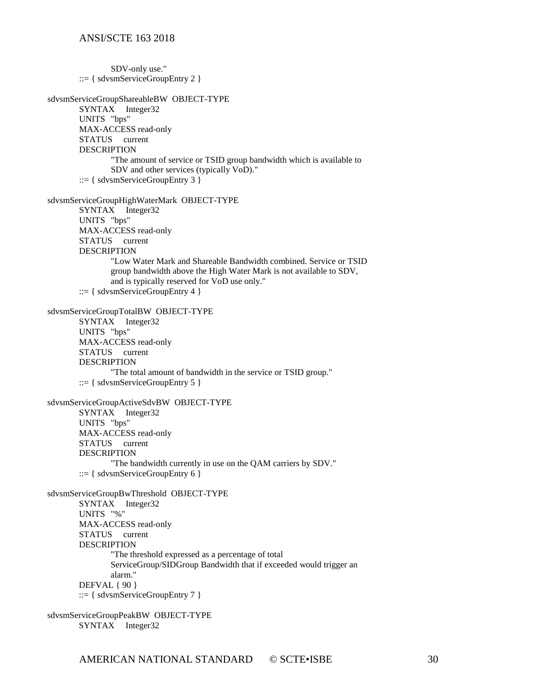SDV-only use."  $::= \{ sdvsmServiceGroupEntry 2 \}$ sdvsmServiceGroupShareableBW OBJECT-TYPE SYNTAX Integer32 UNITS "bps" MAX-ACCESS read-only STATUS current DESCRIPTION "The amount of service or TSID group bandwidth which is available to SDV and other services (typically VoD)."  $::= \{$  sdvsmServiceGroupEntry 3  $\}$ sdvsmServiceGroupHighWaterMark OBJECT-TYPE SYNTAX Integer32 UNITS "bps" MAX-ACCESS read-only STATUS current DESCRIPTION "Low Water Mark and Shareable Bandwidth combined. Service or TSID group bandwidth above the High Water Mark is not available to SDV, and is typically reserved for VoD use only." ::=  $\{$  sdvsmServiceGroupEntry 4  $\}$ sdvsmServiceGroupTotalBW OBJECT-TYPE SYNTAX Integer32 UNITS "bps" MAX-ACCESS read-only STATUS current **DESCRIPTION** "The total amount of bandwidth in the service or TSID group."  $::= {$  sdvsmServiceGroupEntry 5  $}$ sdvsmServiceGroupActiveSdvBW OBJECT-TYPE SYNTAX Integer32 UNITS "bps" MAX-ACCESS read-only STATUS current DESCRIPTION "The bandwidth currently in use on the QAM carriers by SDV." ::= { sdvsmServiceGroupEntry 6 } sdvsmServiceGroupBwThreshold OBJECT-TYPE SYNTAX Integer32 UNITS "%" MAX-ACCESS read-only STATUS current **DESCRIPTION** "The threshold expressed as a percentage of total ServiceGroup/SIDGroup Bandwidth that if exceeded would trigger an alarm." DEFVAL { 90 } ::= { sdvsmServiceGroupEntry 7 } sdvsmServiceGroupPeakBW OBJECT-TYPE

SYNTAX Integer32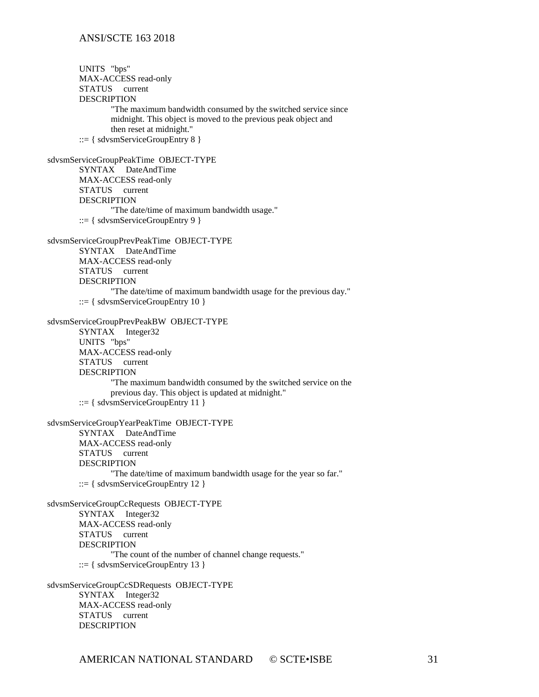UNITS "bps" MAX-ACCESS read-only STATUS current DESCRIPTION "The maximum bandwidth consumed by the switched service since midnight. This object is moved to the previous peak object and then reset at midnight." ::= { sdvsmServiceGroupEntry 8 } sdvsmServiceGroupPeakTime OBJECT-TYPE SYNTAX DateAndTime MAX-ACCESS read-only STATUS current DESCRIPTION "The date/time of maximum bandwidth usage." ::=  $\{$  sdvsmServiceGroupEntry 9  $\}$ sdvsmServiceGroupPrevPeakTime OBJECT-TYPE SYNTAX DateAndTime MAX-ACCESS read-only STATUS current DESCRIPTION "The date/time of maximum bandwidth usage for the previous day."  $::= \{$  sdvsmServiceGroupEntry 10  $\}$ sdvsmServiceGroupPrevPeakBW OBJECT-TYPE SYNTAX Integer32 UNITS "bps" MAX-ACCESS read-only STATUS current DESCRIPTION "The maximum bandwidth consumed by the switched service on the previous day. This object is updated at midnight."  $::= \{$  sdvsmServiceGroupEntry 11  $\}$ sdvsmServiceGroupYearPeakTime OBJECT-TYPE SYNTAX DateAndTime MAX-ACCESS read-only STATUS current DESCRIPTION "The date/time of maximum bandwidth usage for the year so far." ::= { sdvsmServiceGroupEntry 12 } sdvsmServiceGroupCcRequests OBJECT-TYPE SYNTAX Integer32 MAX-ACCESS read-only STATUS current DESCRIPTION "The count of the number of channel change requests." ::= { sdvsmServiceGroupEntry 13 } sdvsmServiceGroupCcSDRequests OBJECT-TYPE SYNTAX Integer32 MAX-ACCESS read-only

STATUS current DESCRIPTION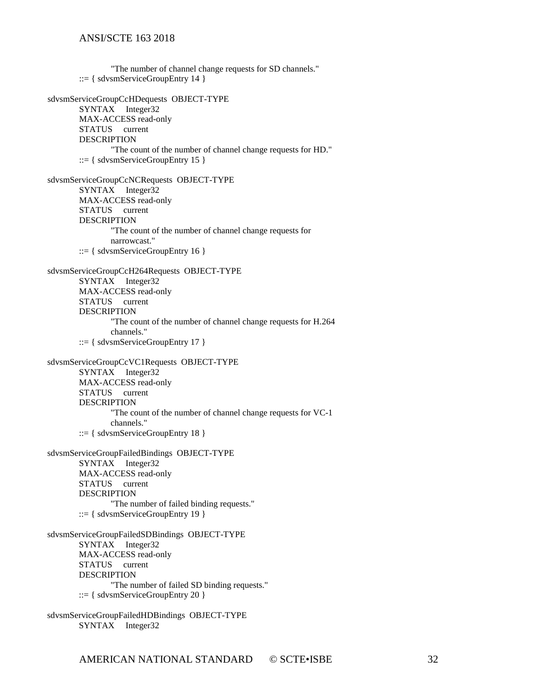"The number of channel change requests for SD channels."  $::= \{ sdvsmServiceGroupEntry 14 \}$ sdvsmServiceGroupCcHDequests OBJECT-TYPE SYNTAX Integer32 MAX-ACCESS read-only STATUS current DESCRIPTION "The count of the number of channel change requests for HD."  $::= \{$  sdvsmServiceGroupEntry 15  $\}$ sdvsmServiceGroupCcNCRequests OBJECT-TYPE SYNTAX Integer32 MAX-ACCESS read-only STATUS current DESCRIPTION "The count of the number of channel change requests for narrowcast." ::= { sdvsmServiceGroupEntry 16 } sdvsmServiceGroupCcH264Requests OBJECT-TYPE SYNTAX Integer32 MAX-ACCESS read-only STATUS current DESCRIPTION "The count of the number of channel change requests for H.264 channels." ::= { sdvsmServiceGroupEntry 17 } sdvsmServiceGroupCcVC1Requests OBJECT-TYPE SYNTAX Integer32 MAX-ACCESS read-only STATUS current DESCRIPTION "The count of the number of channel change requests for VC-1 channels." ::= { sdvsmServiceGroupEntry 18 } sdvsmServiceGroupFailedBindings OBJECT-TYPE SYNTAX Integer32 MAX-ACCESS read-only STATUS current DESCRIPTION "The number of failed binding requests."  $::= \{ sdvsmServiceGroupEntry 19 \}$ sdvsmServiceGroupFailedSDBindings OBJECT-TYPE SYNTAX Integer32 MAX-ACCESS read-only STATUS current DESCRIPTION "The number of failed SD binding requests." ::= { sdvsmServiceGroupEntry 20 } sdvsmServiceGroupFailedHDBindings OBJECT-TYPE SYNTAX Integer32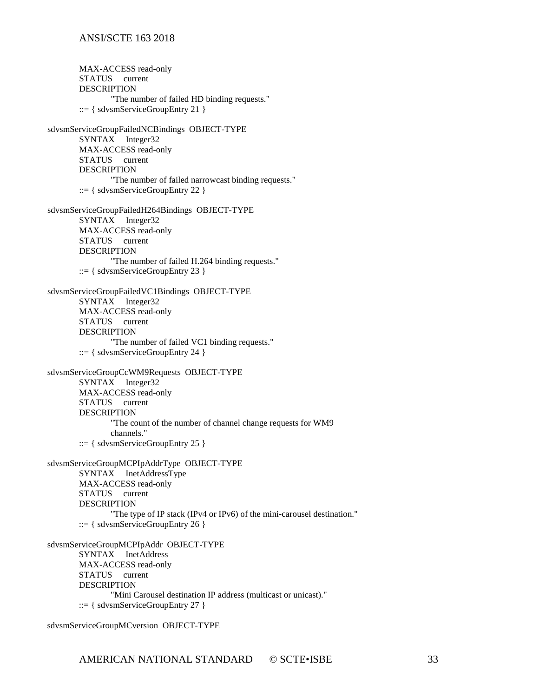MAX-ACCESS read-only STATUS current DESCRIPTION "The number of failed HD binding requests."  $::= \{$  sdvsmServiceGroupEntry 21  $\}$ sdvsmServiceGroupFailedNCBindings OBJECT-TYPE SYNTAX Integer32 MAX-ACCESS read-only STATUS current DESCRIPTION "The number of failed narrowcast binding requests."  $::= \{ sdvsmServiceGroupEntry 22 \}$ sdvsmServiceGroupFailedH264Bindings OBJECT-TYPE SYNTAX Integer32 MAX-ACCESS read-only STATUS current DESCRIPTION "The number of failed H.264 binding requests." ::= { sdvsmServiceGroupEntry 23 } sdvsmServiceGroupFailedVC1Bindings OBJECT-TYPE SYNTAX Integer32 MAX-ACCESS read-only STATUS current DESCRIPTION "The number of failed VC1 binding requests." ::= { sdvsmServiceGroupEntry 24 } sdvsmServiceGroupCcWM9Requests OBJECT-TYPE SYNTAX Integer32 MAX-ACCESS read-only STATUS current DESCRIPTION "The count of the number of channel change requests for WM9 channels." ::= { sdvsmServiceGroupEntry 25 } sdvsmServiceGroupMCPIpAddrType OBJECT-TYPE SYNTAX InetAddressType MAX-ACCESS read-only STATUS current DESCRIPTION "The type of IP stack (IPv4 or IPv6) of the mini-carousel destination." ::=  $\{$  sdvsmServiceGroupEntry 26  $\}$ sdvsmServiceGroupMCPIpAddr OBJECT-TYPE SYNTAX InetAddress MAX-ACCESS read-only STATUS current DESCRIPTION "Mini Carousel destination IP address (multicast or unicast)." ::=  $\{$  sdvsmServiceGroupEntry 27  $\}$ 

sdvsmServiceGroupMCversion OBJECT-TYPE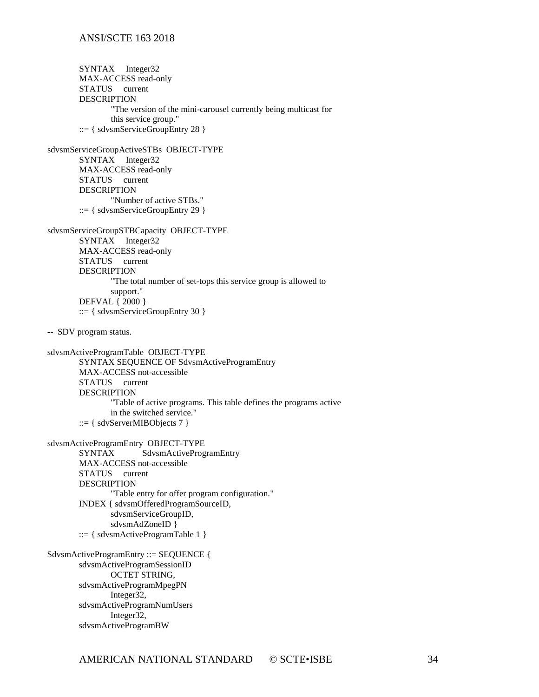SYNTAX Integer32 MAX-ACCESS read-only STATUS current **DESCRIPTION** "The version of the mini-carousel currently being multicast for this service group." ::= { sdvsmServiceGroupEntry 28 } sdvsmServiceGroupActiveSTBs OBJECT-TYPE SYNTAX Integer32 MAX-ACCESS read-only STATUS current DESCRIPTION "Number of active STBs."  $::= \{ sdvsmServiceGroupEntry\ 29\}$ sdvsmServiceGroupSTBCapacity OBJECT-TYPE SYNTAX Integer32 MAX-ACCESS read-only STATUS current DESCRIPTION "The total number of set-tops this service group is allowed to support." DEFVAL { 2000 } ::= { sdvsmServiceGroupEntry 30 } -- SDV program status. sdvsmActiveProgramTable OBJECT-TYPE SYNTAX SEQUENCE OF SdvsmActiveProgramEntry MAX-ACCESS not-accessible STATUS current DESCRIPTION "Table of active programs. This table defines the programs active in the switched service."  $::= \{ sdvServerMIBObjects 7 \}$ sdvsmActiveProgramEntry OBJECT-TYPE SYNTAX SdvsmActiveProgramEntry MAX-ACCESS not-accessible STATUS current **DESCRIPTION** "Table entry for offer program configuration." INDEX { sdvsmOfferedProgramSourceID, sdvsmServiceGroupID, sdvsmAdZoneID } ::= { sdvsmActiveProgramTable  $1$  } SdvsmActiveProgramEntry ::= SEQUENCE { sdvsmActiveProgramSessionID OCTET STRING, sdvsmActiveProgramMpegPN Integer32, sdvsmActiveProgramNumUsers Integer32, sdvsmActiveProgramBW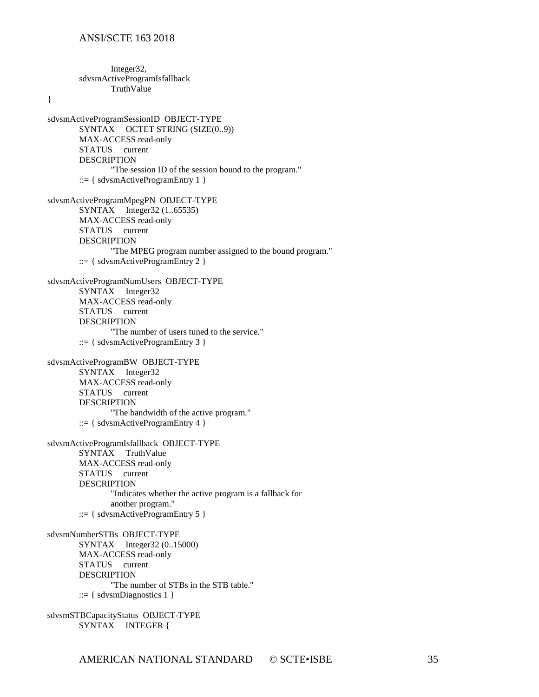Integer32, sdvsmActiveProgramIsfallback TruthValue

}

sdvsmActiveProgramSessionID OBJECT-TYPE SYNTAX OCTET STRING (SIZE(0..9)) MAX-ACCESS read-only STATUS current DESCRIPTION "The session ID of the session bound to the program."  $::= \{ sdvsmActiveProgramEntry 1 \}$ sdvsmActiveProgramMpegPN OBJECT-TYPE SYNTAX Integer32 (1..65535) MAX-ACCESS read-only STATUS current DESCRIPTION "The MPEG program number assigned to the bound program." ::= { sdvsmActiveProgramEntry 2 } sdvsmActiveProgramNumUsers OBJECT-TYPE SYNTAX Integer32 MAX-ACCESS read-only STATUS current DESCRIPTION "The number of users tuned to the service." ::= { sdvsmActiveProgramEntry 3 } sdvsmActiveProgramBW OBJECT-TYPE SYNTAX Integer32 MAX-ACCESS read-only STATUS current DESCRIPTION "The bandwidth of the active program." ::=  $\{$  sdvsmActiveProgramEntry 4  $\}$ sdvsmActiveProgramIsfallback OBJECT-TYPE SYNTAX TruthValue MAX-ACCESS read-only STATUS current DESCRIPTION "Indicates whether the active program is a fallback for another program." ::=  $\{$  sdvsmActiveProgramEntry 5  $\}$ sdvsmNumberSTBs OBJECT-TYPE SYNTAX Integer32 (0..15000) MAX-ACCESS read-only STATUS current **DESCRIPTION** "The number of STBs in the STB table."  $::= {$  sdvsmDiagnostics 1  $}$ 

sdvsmSTBCapacityStatus OBJECT-TYPE SYNTAX INTEGER {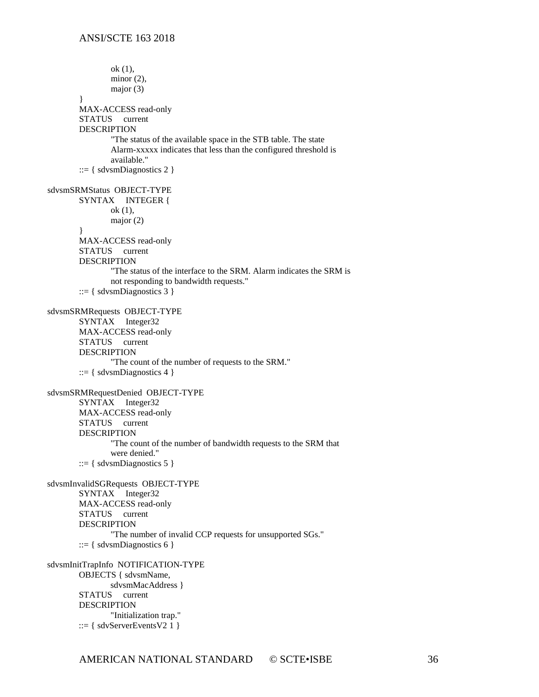ok (1), minor  $(2)$ , major (3) } MAX-ACCESS read-only STATUS current DESCRIPTION "The status of the available space in the STB table. The state Alarm-xxxxx indicates that less than the configured threshold is available."  $::= \{$  sdvsmDiagnostics 2  $\}$ sdvsmSRMStatus OBJECT-TYPE SYNTAX INTEGER { ok (1), major (2) } MAX-ACCESS read-only STATUS current DESCRIPTION "The status of the interface to the SRM. Alarm indicates the SRM is not responding to bandwidth requests."  $::= \{$  sdvsmDiagnostics 3  $\}$ sdvsmSRMRequests OBJECT-TYPE SYNTAX Integer32 MAX-ACCESS read-only STATUS current DESCRIPTION "The count of the number of requests to the SRM." ::= { sdvsmDiagnostics 4 } sdvsmSRMRequestDenied OBJECT-TYPE SYNTAX Integer32 MAX-ACCESS read-only STATUS current DESCRIPTION "The count of the number of bandwidth requests to the SRM that were denied."  $::= {$  sdvsmDiagnostics 5  $}$ sdvsmInvalidSGRequests OBJECT-TYPE SYNTAX Integer32 MAX-ACCESS read-only STATUS current DESCRIPTION "The number of invalid CCP requests for unsupported SGs." ::= { sdvsmDiagnostics 6 } sdvsmInitTrapInfo NOTIFICATION-TYPE OBJECTS { sdvsmName, sdvsmMacAddress } STATUS current **DESCRIPTION** "Initialization trap." ::=  $\{$  sdvServerEventsV2 1  $\}$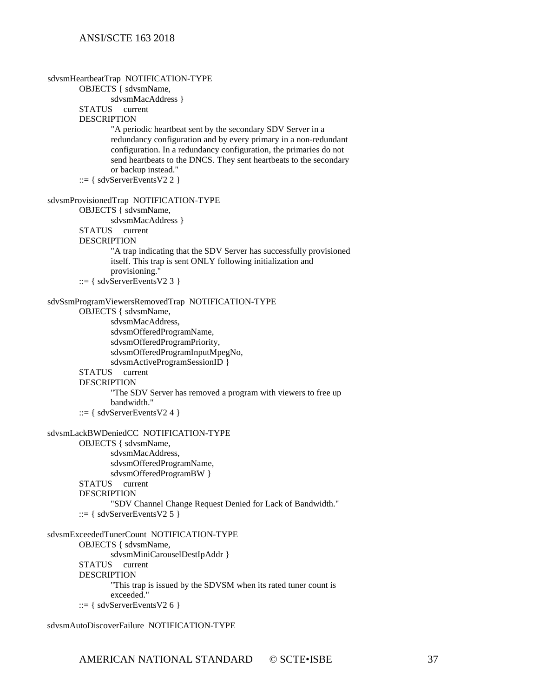```
sdvsmHeartbeatTrap NOTIFICATION-TYPE
       OBJECTS { sdvsmName, 
               sdvsmMacAddress }
        STATUS current
       DESCRIPTION
                "A periodic heartbeat sent by the secondary SDV Server in a
               redundancy configuration and by every primary in a non-redundant
               configuration. In a redundancy configuration, the primaries do not
               send heartbeats to the DNCS. They sent heartbeats to the secondary
               or backup instead."
       ::= \{ sdvServerEventsV2 2 \}sdvsmProvisionedTrap NOTIFICATION-TYPE
       OBJECTS { sdvsmName, 
               sdvsmMacAddress }
       STATUS current
       DESCRIPTION 
                "A trap indicating that the SDV Server has successfully provisioned
               itself. This trap is sent ONLY following initialization and
               provisioning."
         ::= \{ sdvServerEventsV2 3 \}sdvSsmProgramViewersRemovedTrap NOTIFICATION-TYPE
       OBJECTS { sdvsmName, 
               sdvsmMacAddress, 
               sdvsmOfferedProgramName, 
               sdvsmOfferedProgramPriority, 
               sdvsmOfferedProgramInputMpegNo, 
               sdvsmActiveProgramSessionID }
        STATUS current
       DESCRIPTION 
                "The SDV Server has removed a program with viewers to free up
               bandwidth."
        ::= \{ sdvServerEventsV2 4 \}sdvsmLackBWDeniedCC NOTIFICATION-TYPE
       OBJECTS { sdvsmName, 
               sdvsmMacAddress, 
               sdvsmOfferedProgramName, 
               sdvsmOfferedProgramBW }
        STATUS current
        DESCRIPTION 
                "SDV Channel Change Request Denied for Lack of Bandwidth."
         ::= \{ sdvServerEventsV2 5 \}sdvsmExceededTunerCount NOTIFICATION-TYPE
       OBJECTS { sdvsmName, 
               sdvsmMiniCarouselDestIpAddr }
       STATUS current
       DESCRIPTION 
                "This trap is issued by the SDVSM when its rated tuner count is
               exceeded."
       ::= \{ sdvServerEventsV2 6 \}
```
sdvsmAutoDiscoverFailure NOTIFICATION-TYPE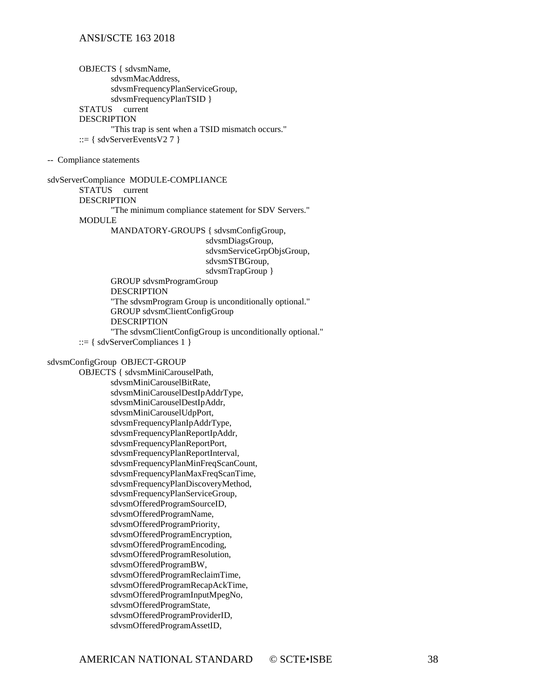OBJECTS { sdvsmName, sdvsmMacAddress, sdvsmFrequencyPlanServiceGroup, sdvsmFrequencyPlanTSID } STATUS current **DESCRIPTION** "This trap is sent when a TSID mismatch occurs." ::=  $\{$  sdvServerEventsV2 7  $\}$ 

-- Compliance statements

sdvServerCompliance MODULE-COMPLIANCE STATUS current DESCRIPTION "The minimum compliance statement for SDV Servers." MODULE MANDATORY-GROUPS { sdvsmConfigGroup, sdvsmDiagsGroup, sdvsmServiceGrpObjsGroup, sdvsmSTBGroup, sdvsmTrapGroup } GROUP sdvsmProgramGroup DESCRIPTION "The sdvsmProgram Group is unconditionally optional." GROUP sdvsmClientConfigGroup **DESCRIPTION** "The sdvsmClientConfigGroup is unconditionally optional." ::= { sdvServerCompliances 1 }

#### sdvsmConfigGroup OBJECT-GROUP

OBJECTS { sdvsmMiniCarouselPath, sdvsmMiniCarouselBitRate, sdvsmMiniCarouselDestIpAddrType, sdvsmMiniCarouselDestIpAddr, sdvsmMiniCarouselUdpPort, sdvsmFrequencyPlanIpAddrType, sdvsmFrequencyPlanReportIpAddr, sdvsmFrequencyPlanReportPort, sdvsmFrequencyPlanReportInterval, sdvsmFrequencyPlanMinFreqScanCount, sdvsmFrequencyPlanMaxFreqScanTime, sdvsmFrequencyPlanDiscoveryMethod, sdvsmFrequencyPlanServiceGroup, sdvsmOfferedProgramSourceID, sdvsmOfferedProgramName, sdvsmOfferedProgramPriority, sdvsmOfferedProgramEncryption, sdvsmOfferedProgramEncoding, sdvsmOfferedProgramResolution, sdvsmOfferedProgramBW, sdvsmOfferedProgramReclaimTime, sdvsmOfferedProgramRecapAckTime, sdvsmOfferedProgramInputMpegNo, sdvsmOfferedProgramState, sdvsmOfferedProgramProviderID, sdvsmOfferedProgramAssetID,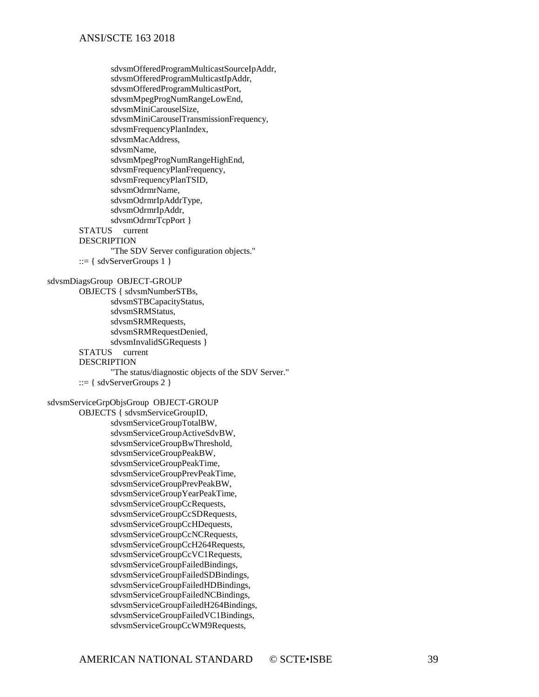```
sdvsmOfferedProgramMulticastSourceIpAddr, 
               sdvsmOfferedProgramMulticastIpAddr, 
               sdvsmOfferedProgramMulticastPort, 
               sdvsmMpegProgNumRangeLowEnd, 
               sdvsmMiniCarouselSize, 
               sdvsmMiniCarouselTransmissionFrequency, 
               sdvsmFrequencyPlanIndex, 
               sdvsmMacAddress, 
               sdvsmName, 
               sdvsmMpegProgNumRangeHighEnd, 
               sdvsmFrequencyPlanFrequency, 
               sdvsmFrequencyPlanTSID, 
               sdvsmOdrmrName, 
               sdvsmOdrmrIpAddrType, 
               sdvsmOdrmrIpAddr, 
               sdvsmOdrmrTcpPort }
        STATUS current
        DESCRIPTION 
               "The SDV Server configuration objects."
        ::= \{ sdvServerGroups 1\}sdvsmDiagsGroup OBJECT-GROUP
       OBJECTS { sdvsmNumberSTBs, 
               sdvsmSTBCapacityStatus, 
               sdvsmSRMStatus, 
               sdvsmSRMRequests, 
               sdvsmSRMRequestDenied, 
               sdvsmInvalidSGRequests }
        STATUS current
        DESCRIPTION
               "The status/diagnostic objects of the SDV Server."
        ::= \{ sdvServerGroups 2 \}sdvsmServiceGrpObjsGroup OBJECT-GROUP
       OBJECTS { sdvsmServiceGroupID, 
               sdvsmServiceGroupTotalBW, 
               sdvsmServiceGroupActiveSdvBW, 
               sdvsmServiceGroupBwThreshold, 
               sdvsmServiceGroupPeakBW, 
               sdvsmServiceGroupPeakTime, 
               sdvsmServiceGroupPrevPeakTime, 
               sdvsmServiceGroupPrevPeakBW, 
               sdvsmServiceGroupYearPeakTime, 
               sdvsmServiceGroupCcRequests, 
               sdvsmServiceGroupCcSDRequests, 
               sdvsmServiceGroupCcHDequests, 
               sdvsmServiceGroupCcNCRequests, 
               sdvsmServiceGroupCcH264Requests, 
               sdvsmServiceGroupCcVC1Requests, 
               sdvsmServiceGroupFailedBindings, 
               sdvsmServiceGroupFailedSDBindings, 
               sdvsmServiceGroupFailedHDBindings, 
               sdvsmServiceGroupFailedNCBindings, 
               sdvsmServiceGroupFailedH264Bindings, 
               sdvsmServiceGroupFailedVC1Bindings, 
               sdvsmServiceGroupCcWM9Requests,
```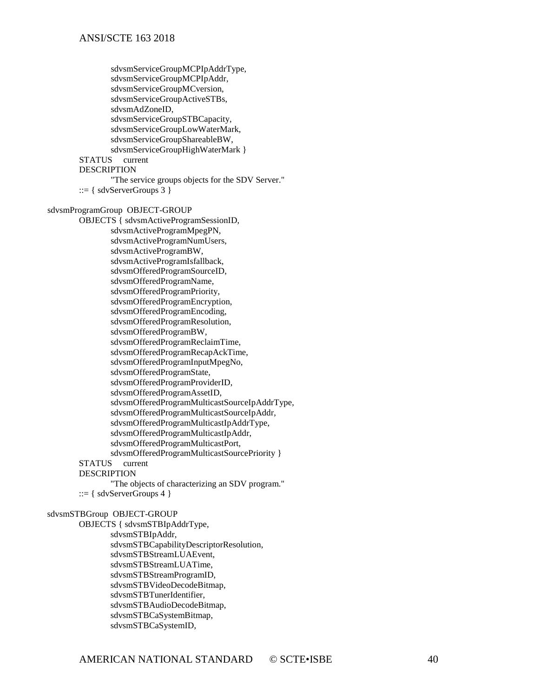```
sdvsmServiceGroupMCPIpAddrType, 
               sdvsmServiceGroupMCPIpAddr, 
               sdvsmServiceGroupMCversion, 
               sdvsmServiceGroupActiveSTBs, 
               sdvsmAdZoneID, 
               sdvsmServiceGroupSTBCapacity, 
               sdvsmServiceGroupLowWaterMark, 
               sdvsmServiceGroupShareableBW, 
               sdvsmServiceGroupHighWaterMark }
       STATUS
       DESCRIPTION 
               "The service groups objects for the SDV Server."
         ::= \{ sdvServerGroups 3\}sdvsmProgramGroup OBJECT-GROUP
       OBJECTS { sdvsmActiveProgramSessionID, 
               sdvsmActiveProgramMpegPN, 
               sdvsmActiveProgramNumUsers, 
               sdvsmActiveProgramBW, 
               sdvsmActiveProgramIsfallback, 
               sdvsmOfferedProgramSourceID, 
               sdvsmOfferedProgramName, 
               sdvsmOfferedProgramPriority, 
               sdvsmOfferedProgramEncryption, 
               sdvsmOfferedProgramEncoding, 
               sdvsmOfferedProgramResolution, 
               sdvsmOfferedProgramBW, 
               sdvsmOfferedProgramReclaimTime, 
               sdvsmOfferedProgramRecapAckTime, 
               sdvsmOfferedProgramInputMpegNo, 
               sdvsmOfferedProgramState, 
               sdvsmOfferedProgramProviderID, 
               sdvsmOfferedProgramAssetID, 
               sdvsmOfferedProgramMulticastSourceIpAddrType, 
               sdvsmOfferedProgramMulticastSourceIpAddr, 
               sdvsmOfferedProgramMulticastIpAddrType, 
               sdvsmOfferedProgramMulticastIpAddr, 
               sdvsmOfferedProgramMulticastPort, 
               sdvsmOfferedProgramMulticastSourcePriority }
        STATUS current
       DESCRIPTION 
                "The objects of characterizing an SDV program."
        ::= { \} sdvServerGroups 4 }sdvsmSTBGroup OBJECT-GROUP
       OBJECTS { sdvsmSTBIpAddrType, 
               sdvsmSTBIpAddr, 
               sdvsmSTBCapabilityDescriptorResolution, 
               sdvsmSTBStreamLUAEvent, 
               sdvsmSTBStreamLUATime, 
               sdvsmSTBStreamProgramID, 
               sdvsmSTBVideoDecodeBitmap, 
               sdvsmSTBTunerIdentifier, 
               sdvsmSTBAudioDecodeBitmap, 
               sdvsmSTBCaSystemBitmap,
```
sdvsmSTBCaSystemID,